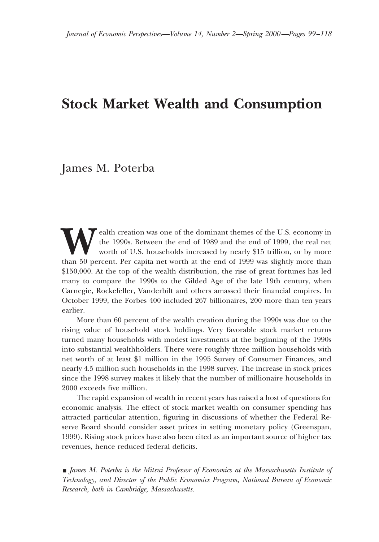# **Stock Market Wealth and Consumption**

## James M. Poterba

**W**ealth creation was one of the dominant themes of the U.S. economy in the 1990s. Between the end of 1989 and the end of 1999, the real net worth of U.S. households increased by nearly \$15 trillion, or by more than 50 percent. Per capita net worth at the end of 1999 was slightly more than \$150,000. At the top of the wealth distribution, the rise of great fortunes has led many to compare the 1990s to the Gilded Age of the late 19th century, when Carnegie, Rockefeller, Vanderbilt and others amassed their financial empires. In October 1999, the Forbes 400 included 267 billionaires, 200 more than ten years earlier.

More than 60 percent of the wealth creation during the 1990s was due to the rising value of household stock holdings. Very favorable stock market returns turned many households with modest investments at the beginning of the 1990s into substantial wealthholders. There were roughly three million households with net worth of at least \$1 million in the 1995 Survey of Consumer Finances, and nearly 4.5 million such households in the 1998 survey. The increase in stock prices since the 1998 survey makes it likely that the number of millionaire households in 2000 exceeds five million.

The rapid expansion of wealth in recent years has raised a host of questions for economic analysis. The effect of stock market wealth on consumer spending has attracted particular attention, figuring in discussions of whether the Federal Reserve Board should consider asset prices in setting monetary policy (Greenspan, 1999). Rising stock prices have also been cited as an important source of higher tax revenues, hence reduced federal deficits.

■ *James M. Poterba is the Mitsui Professor of Economics at the Massachusetts Institute of Technology, and Director of the Public Economics Program, National Bureau of Economic Research, both in Cambridge, Massachusetts.*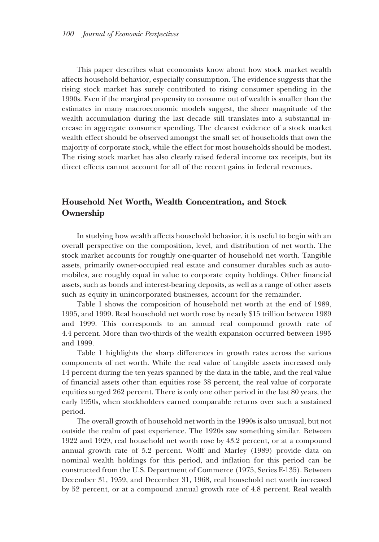This paper describes what economists know about how stock market wealth affects household behavior, especially consumption. The evidence suggests that the rising stock market has surely contributed to rising consumer spending in the 1990s. Even if the marginal propensity to consume out of wealth is smaller than the estimates in many macroeconomic models suggest, the sheer magnitude of the wealth accumulation during the last decade still translates into a substantial increase in aggregate consumer spending. The clearest evidence of a stock market wealth effect should be observed amongst the small set of households that own the majority of corporate stock, while the effect for most households should be modest. The rising stock market has also clearly raised federal income tax receipts, but its direct effects cannot account for all of the recent gains in federal revenues.

### **Household Net Worth, Wealth Concentration, and Stock Ownership**

In studying how wealth affects household behavior, it is useful to begin with an overall perspective on the composition, level, and distribution of net worth. The stock market accounts for roughly one-quarter of household net worth. Tangible assets, primarily owner-occupied real estate and consumer durables such as automobiles, are roughly equal in value to corporate equity holdings. Other financial assets, such as bonds and interest-bearing deposits, as well as a range of other assets such as equity in unincorporated businesses, account for the remainder.

Table 1 shows the composition of household net worth at the end of 1989, 1995, and 1999. Real household net worth rose by nearly \$15 trillion between 1989 and 1999. This corresponds to an annual real compound growth rate of 4.4 percent. More than two-thirds of the wealth expansion occurred between 1995 and 1999.

Table 1 highlights the sharp differences in growth rates across the various components of net worth. While the real value of tangible assets increased only 14 percent during the ten years spanned by the data in the table, and the real value of financial assets other than equities rose 38 percent, the real value of corporate equities surged 262 percent. There is only one other period in the last 80 years, the early 1950s, when stockholders earned comparable returns over such a sustained period.

The overall growth of household net worth in the 1990s is also unusual, but not outside the realm of past experience. The 1920s saw something similar. Between 1922 and 1929, real household net worth rose by 43.2 percent, or at a compound annual growth rate of 5.2 percent. Wolff and Marley (1989) provide data on nominal wealth holdings for this period, and inflation for this period can be constructed from the U.S. Department of Commerce (1975, Series E-135). Between December 31, 1959, and December 31, 1968, real household net worth increased by 52 percent, or at a compound annual growth rate of 4.8 percent. Real wealth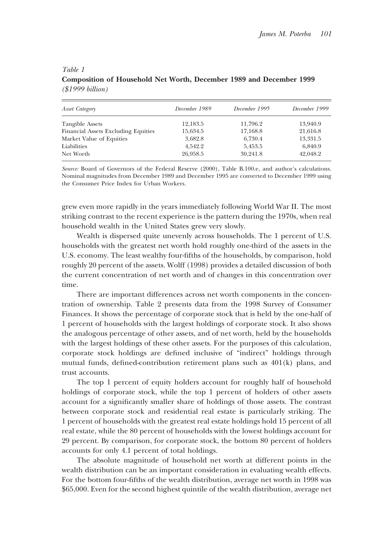#### *Table 1*

| <b>Asset Category</b>               | December 1989 | December 1995 | December 1999 |
|-------------------------------------|---------------|---------------|---------------|
| <b>Tangible Assets</b>              | 12,183.5      | 11,796.2      | 13,940.9      |
| Financial Assets Excluding Equities | 15,634.5      | 17,168.8      | 21,616.8      |
| Market Value of Equities            | 3,682.8       | 6,730.4       | 13,331.5      |
| Liabilities                         | 4,542.2       | 5,453.5       | 6,840.9       |
| Net Worth                           | 26,958.5      | 30,241.8      | 42,048.2      |

### **Composition of Household Net Worth, December 1989 and December 1999** *(\$1999 billion)*

*Source:* Board of Governors of the Federal Reserve (2000), Table B.100.e, and author's calculations. Nominal magnitudes from December 1989 and December 1995 are converted to December 1999 using the Consumer Price Index for Urban Workers.

grew even more rapidly in the years immediately following World War II. The most striking contrast to the recent experience is the pattern during the 1970s, when real household wealth in the United States grew very slowly.

Wealth is dispersed quite unevenly across households. The 1 percent of U.S. households with the greatest net worth hold roughly one-third of the assets in the U.S. economy. The least wealthy four-fifths of the households, by comparison, hold roughly 20 percent of the assets. Wolff (1998) provides a detailed discussion of both the current concentration of net worth and of changes in this concentration over time.

There are important differences across net worth components in the concentration of ownership. Table 2 presents data from the 1998 Survey of Consumer Finances. It shows the percentage of corporate stock that is held by the one-half of 1 percent of households with the largest holdings of corporate stock. It also shows the analogous percentage of other assets, and of net worth, held by the households with the largest holdings of these other assets. For the purposes of this calculation, corporate stock holdings are defined inclusive of "indirect" holdings through mutual funds, defined-contribution retirement plans such as  $401(k)$  plans, and trust accounts.

The top 1 percent of equity holders account for roughly half of household holdings of corporate stock, while the top 1 percent of holders of other assets account for a significantly smaller share of holdings of those assets. The contrast between corporate stock and residential real estate is particularly striking. The 1 percent of households with the greatest real estate holdings hold 15 percent of all real estate, while the 80 percent of households with the lowest holdings account for 29 percent. By comparison, for corporate stock, the bottom 80 percent of holders accounts for only 4.1 percent of total holdings.

The absolute magnitude of household net worth at different points in the wealth distribution can be an important consideration in evaluating wealth effects. For the bottom four-fifths of the wealth distribution, average net worth in 1998 was \$65,000. Even for the second highest quintile of the wealth distribution, average net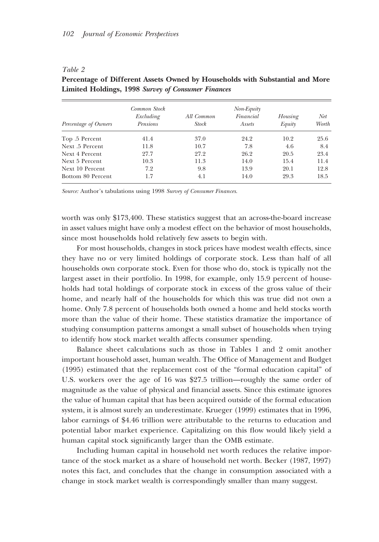#### *Table 2*

|                      | Common Stock          |                            | $Non\text{-}Equity$ |                   |              |
|----------------------|-----------------------|----------------------------|---------------------|-------------------|--------------|
|                      | Excluding<br>Pensions | All Common<br><b>Stock</b> | Financial<br>Assets | Housing<br>Equity | Net<br>Worth |
| Percentage of Owners |                       |                            |                     |                   |              |
| Top .5 Percent       | 41.4                  | 37.0                       | 24.2                | 10.2              | 25.6         |
| Next .5 Percent      | 11.8                  | 10.7                       | 7.8                 | 4.6               | 8.4          |
| Next 4 Percent       | 27.7                  | 27.2                       | 26.2                | 20.5              | 23.4         |
| Next 5 Percent       | 10.3                  | 11.3                       | 14.0                | 15.4              | 11.4         |
| Next 10 Percent      | 7.2                   | 9.8                        | 13.9                | 20.1              | 12.8         |
| Bottom 80 Percent    | 1.7                   | 4.1                        | 14.0                | 29.3              | 18.5         |

### **Percentage of Different Assets Owned by Households with Substantial and More Limited Holdings, 1998** *Survey of Consumer Finances*

*Source:* Author's tabulations using 1998 *Survey of Consumer Finances*.

worth was only \$173,400. These statistics suggest that an across-the-board increase in asset values might have only a modest effect on the behavior of most households, since most households hold relatively few assets to begin with.

For most households, changes in stock prices have modest wealth effects, since they have no or very limited holdings of corporate stock. Less than half of all households own corporate stock. Even for those who do, stock is typically not the largest asset in their portfolio. In 1998, for example, only 15.9 percent of households had total holdings of corporate stock in excess of the gross value of their home, and nearly half of the households for which this was true did not own a home. Only 7.8 percent of households both owned a home and held stocks worth more than the value of their home. These statistics dramatize the importance of studying consumption patterns amongst a small subset of households when trying to identify how stock market wealth affects consumer spending.

Balance sheet calculations such as those in Tables 1 and 2 omit another important household asset, human wealth. The Office of Management and Budget (1995) estimated that the replacement cost of the "formal education capital" of U.S. workers over the age of 16 was \$27.5 trillion—roughly the same order of magnitude as the value of physical and financial assets. Since this estimate ignores the value of human capital that has been acquired outside of the formal education system, it is almost surely an underestimate. Krueger (1999) estimates that in 1996, labor earnings of \$4.46 trillion were attributable to the returns to education and potential labor market experience. Capitalizing on this flow would likely yield a human capital stock significantly larger than the OMB estimate.

Including human capital in household net worth reduces the relative importance of the stock market as a share of household net worth. Becker (1987, 1997) notes this fact, and concludes that the change in consumption associated with a change in stock market wealth is correspondingly smaller than many suggest.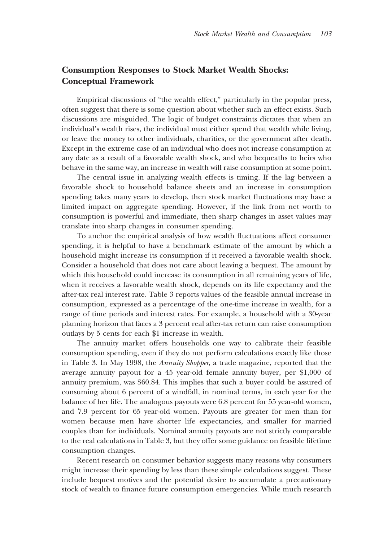### **Consumption Responses to Stock Market Wealth Shocks: Conceptual Framework**

Empirical discussions of "the wealth effect," particularly in the popular press, often suggest that there is some question about whether such an effect exists. Such discussions are misguided. The logic of budget constraints dictates that when an individual's wealth rises, the individual must either spend that wealth while living, or leave the money to other individuals, charities, or the government after death. Except in the extreme case of an individual who does not increase consumption at any date as a result of a favorable wealth shock, and who bequeaths to heirs who behave in the same way, an increase in wealth will raise consumption at some point.

The central issue in analyzing wealth effects is timing. If the lag between a favorable shock to household balance sheets and an increase in consumption spending takes many years to develop, then stock market fluctuations may have a limited impact on aggregate spending. However, if the link from net worth to consumption is powerful and immediate, then sharp changes in asset values may translate into sharp changes in consumer spending.

To anchor the empirical analysis of how wealth fluctuations affect consumer spending, it is helpful to have a benchmark estimate of the amount by which a household might increase its consumption if it received a favorable wealth shock. Consider a household that does not care about leaving a bequest. The amount by which this household could increase its consumption in all remaining years of life, when it receives a favorable wealth shock, depends on its life expectancy and the after-tax real interest rate. Table 3 reports values of the feasible annual increase in consumption, expressed as a percentage of the one-time increase in wealth, for a range of time periods and interest rates. For example, a household with a 30-year planning horizon that faces a 3 percent real after-tax return can raise consumption outlays by 5 cents for each \$1 increase in wealth.

The annuity market offers households one way to calibrate their feasible consumption spending, even if they do not perform calculations exactly like those in Table 3. In May 1998, the *Annuity Shopper*, a trade magazine, reported that the average annuity payout for a 45 year-old female annuity buyer, per \$1,000 of annuity premium, was \$60.84. This implies that such a buyer could be assured of consuming about 6 percent of a windfall, in nominal terms, in each year for the balance of her life. The analogous payouts were 6.8 percent for 55 year-old women, and 7.9 percent for 65 year-old women. Payouts are greater for men than for women because men have shorter life expectancies, and smaller for married couples than for individuals. Nominal annuity payouts are not strictly comparable to the real calculations in Table 3, but they offer some guidance on feasible lifetime consumption changes.

Recent research on consumer behavior suggests many reasons why consumers might increase their spending by less than these simple calculations suggest. These include bequest motives and the potential desire to accumulate a precautionary stock of wealth to finance future consumption emergencies. While much research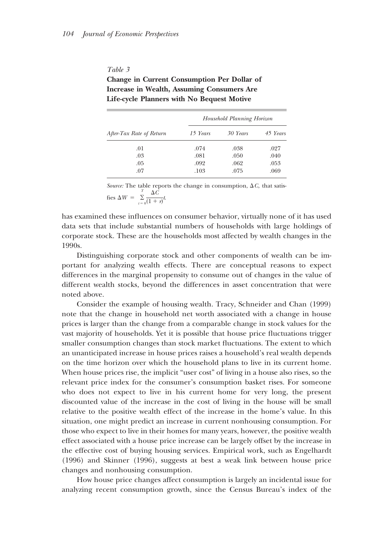#### *Table 3*

**Change in Current Consumption Per Dollar of Increase in Wealth, Assuming Consumers Are Life-cycle Planners with No Bequest Motive**

| After-Tax Rate of Return | Household Planning Horizon |          |          |  |
|--------------------------|----------------------------|----------|----------|--|
|                          | 15 Years                   | 30 Years | 45 Years |  |
| .01                      | .074                       | .038     | .027     |  |
| .03                      | .081                       | .050     | .040     |  |
| .05                      | .092                       | .062     | .053     |  |
| .07                      | .103                       | .075     | .069     |  |

*Source:* The table reports the change in consumption,  $\Delta C$ , that satisfies  $\Delta W = \sum_{t=0}$  $\sum_{n=1}^{T} \Delta C_n$  $\frac{1}{(1+r)}$ 

has examined these influences on consumer behavior, virtually none of it has used data sets that include substantial numbers of households with large holdings of corporate stock. These are the households most affected by wealth changes in the 1990s.

Distinguishing corporate stock and other components of wealth can be important for analyzing wealth effects. There are conceptual reasons to expect differences in the marginal propensity to consume out of changes in the value of different wealth stocks, beyond the differences in asset concentration that were noted above.

Consider the example of housing wealth. Tracy, Schneider and Chan (1999) note that the change in household net worth associated with a change in house prices is larger than the change from a comparable change in stock values for the vast majority of households. Yet it is possible that house price fluctuations trigger smaller consumption changes than stock market fluctuations. The extent to which an unanticipated increase in house prices raises a household's real wealth depends on the time horizon over which the household plans to live in its current home. When house prices rise, the implicit "user cost" of living in a house also rises, so the relevant price index for the consumer's consumption basket rises. For someone who does not expect to live in his current home for very long, the present discounted value of the increase in the cost of living in the house will be small relative to the positive wealth effect of the increase in the home's value. In this situation, one might predict an increase in current nonhousing consumption. For those who expect to live in their homes for many years, however, the positive wealth effect associated with a house price increase can be largely offset by the increase in the effective cost of buying housing services. Empirical work, such as Engelhardt (1996) and Skinner (1996), suggests at best a weak link between house price changes and nonhousing consumption.

How house price changes affect consumption is largely an incidental issue for analyzing recent consumption growth, since the Census Bureau's index of the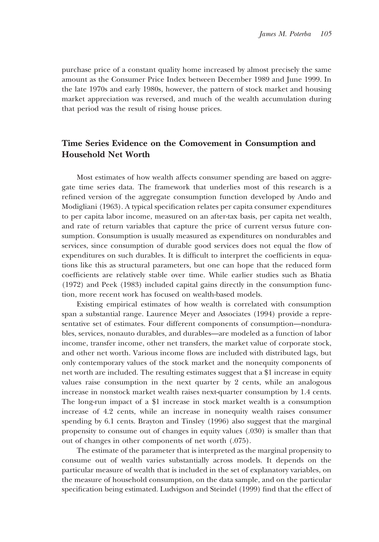purchase price of a constant quality home increased by almost precisely the same amount as the Consumer Price Index between December 1989 and June 1999. In the late 1970s and early 1980s, however, the pattern of stock market and housing market appreciation was reversed, and much of the wealth accumulation during that period was the result of rising house prices.

### **Time Series Evidence on the Comovement in Consumption and Household Net Worth**

Most estimates of how wealth affects consumer spending are based on aggregate time series data. The framework that underlies most of this research is a refined version of the aggregate consumption function developed by Ando and Modigliani (1963). A typical specification relates per capita consumer expenditures to per capita labor income, measured on an after-tax basis, per capita net wealth, and rate of return variables that capture the price of current versus future consumption. Consumption is usually measured as expenditures on nondurables and services, since consumption of durable good services does not equal the flow of expenditures on such durables. It is difficult to interpret the coefficients in equations like this as structural parameters, but one can hope that the reduced form coefficients are relatively stable over time. While earlier studies such as Bhatia (1972) and Peek (1983) included capital gains directly in the consumption function, more recent work has focused on wealth-based models.

Existing empirical estimates of how wealth is correlated with consumption span a substantial range. Laurence Meyer and Associates (1994) provide a representative set of estimates. Four different components of consumption—nondurables, services, nonauto durables, and durables—are modeled as a function of labor income, transfer income, other net transfers, the market value of corporate stock, and other net worth. Various income flows are included with distributed lags, but only contemporary values of the stock market and the nonequity components of net worth are included. The resulting estimates suggest that a \$1 increase in equity values raise consumption in the next quarter by 2 cents, while an analogous increase in nonstock market wealth raises next-quarter consumption by 1.4 cents. The long-run impact of a \$1 increase in stock market wealth is a consumption increase of 4.2 cents, while an increase in nonequity wealth raises consumer spending by 6.1 cents. Brayton and Tinsley (1996) also suggest that the marginal propensity to consume out of changes in equity values (.030) is smaller than that out of changes in other components of net worth (.075).

The estimate of the parameter that is interpreted as the marginal propensity to consume out of wealth varies substantially across models. It depends on the particular measure of wealth that is included in the set of explanatory variables, on the measure of household consumption, on the data sample, and on the particular specification being estimated. Ludvigson and Steindel (1999) find that the effect of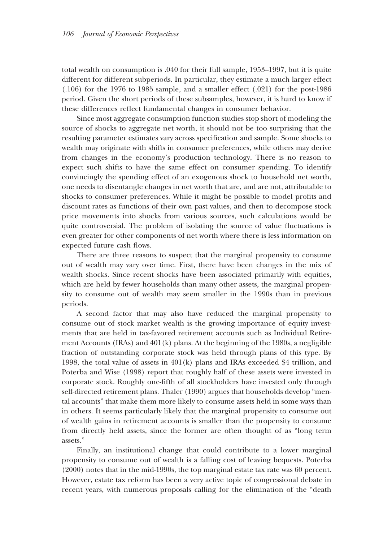total wealth on consumption is .040 for their full sample, 1953–1997, but it is quite different for different subperiods. In particular, they estimate a much larger effect  $(.106)$  for the 1976 to 1985 sample, and a smaller effect  $(.021)$  for the post-1986 period. Given the short periods of these subsamples, however, it is hard to know if these differences reflect fundamental changes in consumer behavior.

Since most aggregate consumption function studies stop short of modeling the source of shocks to aggregate net worth, it should not be too surprising that the resulting parameter estimates vary across specification and sample. Some shocks to wealth may originate with shifts in consumer preferences, while others may derive from changes in the economy's production technology. There is no reason to expect such shifts to have the same effect on consumer spending. To identify convincingly the spending effect of an exogenous shock to household net worth, one needs to disentangle changes in net worth that are, and are not, attributable to shocks to consumer preferences. While it might be possible to model profits and discount rates as functions of their own past values, and then to decompose stock price movements into shocks from various sources, such calculations would be quite controversial. The problem of isolating the source of value fluctuations is even greater for other components of net worth where there is less information on expected future cash flows.

There are three reasons to suspect that the marginal propensity to consume out of wealth may vary over time. First, there have been changes in the mix of wealth shocks. Since recent shocks have been associated primarily with equities, which are held by fewer households than many other assets, the marginal propensity to consume out of wealth may seem smaller in the 1990s than in previous periods.

A second factor that may also have reduced the marginal propensity to consume out of stock market wealth is the growing importance of equity investments that are held in tax-favored retirement accounts such as Individual Retirement Accounts (IRAs) and 401(k) plans. At the beginning of the 1980s, a negligible fraction of outstanding corporate stock was held through plans of this type. By 1998, the total value of assets in  $401(k)$  plans and IRAs exceeded \$4 trillion, and Poterba and Wise (1998) report that roughly half of these assets were invested in corporate stock. Roughly one-fifth of all stockholders have invested only through self-directed retirement plans. Thaler (1990) argues that households develop "mental accounts" that make them more likely to consume assets held in some ways than in others. It seems particularly likely that the marginal propensity to consume out of wealth gains in retirement accounts is smaller than the propensity to consume from directly held assets, since the former are often thought of as "long term assets."

Finally, an institutional change that could contribute to a lower marginal propensity to consume out of wealth is a falling cost of leaving bequests. Poterba (2000) notes that in the mid-1990s, the top marginal estate tax rate was 60 percent. However, estate tax reform has been a very active topic of congressional debate in recent years, with numerous proposals calling for the elimination of the "death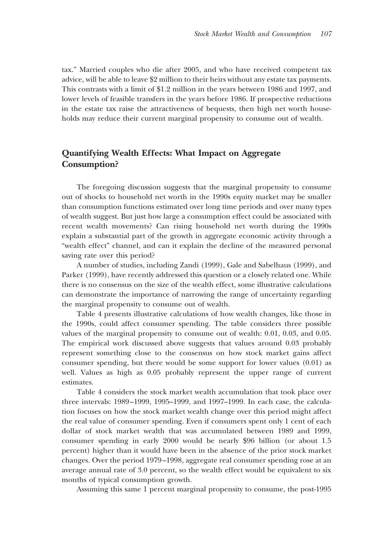tax." Married couples who die after 2005, and who have received competent tax advice, will be able to leave \$2 million to their heirs without any estate tax payments. This contrasts with a limit of \$1.2 million in the years between 1986 and 1997, and lower levels of feasible transfers in the years before 1986. If prospective reductions in the estate tax raise the attractiveness of bequests, then high net worth households may reduce their current marginal propensity to consume out of wealth.

### **Quantifying Wealth Effects: What Impact on Aggregate Consumption?**

The foregoing discussion suggests that the marginal propensity to consume out of shocks to household net worth in the 1990s equity market may be smaller than consumption functions estimated over long time periods and over many types of wealth suggest. But just how large a consumption effect could be associated with recent wealth movements? Can rising household net worth during the 1990s explain a substantial part of the growth in aggregate economic activity through a "wealth effect" channel, and can it explain the decline of the measured personal saving rate over this period?

A number of studies, including Zandi (1999), Gale and Sabelhaus (1999), and Parker (1999), have recently addressed this question or a closely related one. While there is no consensus on the size of the wealth effect, some illustrative calculations can demonstrate the importance of narrowing the range of uncertainty regarding the marginal propensity to consume out of wealth.

Table 4 presents illustrative calculations of how wealth changes, like those in the 1990s, could affect consumer spending. The table considers three possible values of the marginal propensity to consume out of wealth: 0.01, 0.03, and 0.05. The empirical work discussed above suggests that values around 0.03 probably represent something close to the consensus on how stock market gains affect consumer spending, but there would be some support for lower values (0.01) as well. Values as high as 0.05 probably represent the upper range of current estimates.

Table 4 considers the stock market wealth accumulation that took place over three intervals: 1989–1999, 1995–1999, and 1997–1999. In each case, the calculation focuses on how the stock market wealth change over this period might affect the real value of consumer spending. Even if consumers spent only 1 cent of each dollar of stock market wealth that was accumulated between 1989 and 1999, consumer spending in early 2000 would be nearly \$96 billion (or about 1.5 percent) higher than it would have been in the absence of the prior stock market changes. Over the period 1979–1998, aggregate real consumer spending rose at an average annual rate of 3.0 percent, so the wealth effect would be equivalent to six months of typical consumption growth.

Assuming this same 1 percent marginal propensity to consume, the post-1995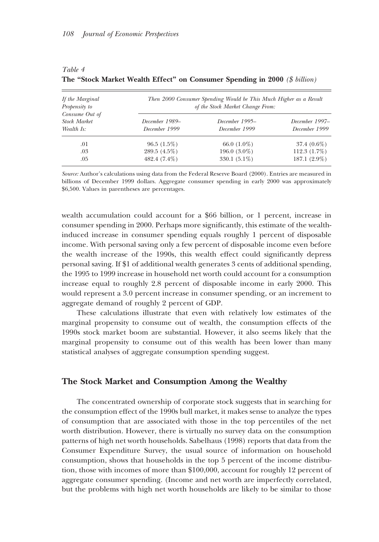| If the Marginal<br>Propensity to<br>Consume Out of<br><b>Stock Market</b><br>Wealth Is: | Then 2000 Consumer Spending Would be This Much Higher as a Result<br>of the Stock Market Change From: |                                   |                                 |  |  |
|-----------------------------------------------------------------------------------------|-------------------------------------------------------------------------------------------------------|-----------------------------------|---------------------------------|--|--|
|                                                                                         | December 1989–<br>December 1999                                                                       | December $1995-$<br>December 1999 | December 1997–<br>December 1999 |  |  |
| .01                                                                                     | $96.5(1.5\%)$                                                                                         | 66.0 $(1.0\%)$                    | $37.4(0.6\%)$                   |  |  |
| .03                                                                                     | 289.5 $(4.5\%)$                                                                                       | 196.0 $(3.0\%)$                   | 112.3 $(1.7\%)$                 |  |  |
| .05                                                                                     | $482.4(7.4\%)$                                                                                        | 330.1 $(5.1\%)$                   | $187.1(2.9\%)$                  |  |  |

| Table 4                                                                    |  |  |
|----------------------------------------------------------------------------|--|--|
| The "Stock Market Wealth Effect" on Consumer Spending in 2000 (\$ billion) |  |  |

*Source:* Author's calculations using data from the Federal Reserve Board (2000). Entries are measured in billions of December 1999 dollars. Aggregate consumer spending in early 2000 was approximately \$6,500. Values in parentheses are percentages.

wealth accumulation could account for a \$66 billion, or 1 percent, increase in consumer spending in 2000. Perhaps more significantly, this estimate of the wealthinduced increase in consumer spending equals roughly 1 percent of disposable income. With personal saving only a few percent of disposable income even before the wealth increase of the 1990s, this wealth effect could significantly depress personal saving. If \$1 of additional wealth generates 3 cents of additional spending, the 1995 to 1999 increase in household net worth could account for a consumption increase equal to roughly 2.8 percent of disposable income in early 2000. This would represent a 3.0 percent increase in consumer spending, or an increment to aggregate demand of roughly 2 percent of GDP.

These calculations illustrate that even with relatively low estimates of the marginal propensity to consume out of wealth, the consumption effects of the 1990s stock market boom are substantial. However, it also seems likely that the marginal propensity to consume out of this wealth has been lower than many statistical analyses of aggregate consumption spending suggest.

#### **The Stock Market and Consumption Among the Wealthy**

The concentrated ownership of corporate stock suggests that in searching for the consumption effect of the 1990s bull market, it makes sense to analyze the types of consumption that are associated with those in the top percentiles of the net worth distribution. However, there is virtually no survey data on the consumption patterns of high net worth households. Sabelhaus (1998) reports that data from the Consumer Expenditure Survey, the usual source of information on household consumption, shows that households in the top 5 percent of the income distribution, those with incomes of more than \$100,000, account for roughly 12 percent of aggregate consumer spending. (Income and net worth are imperfectly correlated, but the problems with high net worth households are likely to be similar to those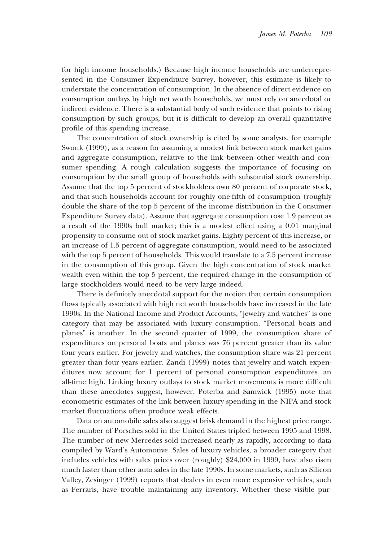for high income households.) Because high income households are underrepresented in the Consumer Expenditure Survey, however, this estimate is likely to understate the concentration of consumption. In the absence of direct evidence on consumption outlays by high net worth households, we must rely on anecdotal or indirect evidence. There is a substantial body of such evidence that points to rising consumption by such groups, but it is difficult to develop an overall quantitative profile of this spending increase.

The concentration of stock ownership is cited by some analysts, for example Swonk (1999), as a reason for assuming a modest link between stock market gains and aggregate consumption, relative to the link between other wealth and consumer spending. A rough calculation suggests the importance of focusing on consumption by the small group of households with substantial stock ownership. Assume that the top 5 percent of stockholders own 80 percent of corporate stock, and that such households account for roughly one-fifth of consumption (roughly double the share of the top 5 percent of the income distribution in the Consumer Expenditure Survey data). Assume that aggregate consumption rose 1.9 percent as a result of the 1990s bull market; this is a modest effect using a 0.01 marginal propensity to consume out of stock market gains. Eighty percent of this increase, or an increase of 1.5 percent of aggregate consumption, would need to be associated with the top 5 percent of households. This would translate to a 7.5 percent increase in the consumption of this group. Given the high concentration of stock market wealth even within the top 5 percent, the required change in the consumption of large stockholders would need to be very large indeed.

There is definitely anecdotal support for the notion that certain consumption flows typically associated with high net worth households have increased in the late 1990s. In the National Income and Product Accounts, "jewelry and watches" is one category that may be associated with luxury consumption. "Personal boats and planes" is another. In the second quarter of 1999, the consumption share of expenditures on personal boats and planes was 76 percent greater than its value four years earlier. For jewelry and watches, the consumption share was 21 percent greater than four years earlier. Zandi (1999) notes that jewelry and watch expenditures now account for 1 percent of personal consumption expenditures, an all-time high. Linking luxury outlays to stock market movements is more difficult than these anecdotes suggest, however. Poterba and Samwick (1995) note that econometric estimates of the link between luxury spending in the NIPA and stock market fluctuations often produce weak effects.

Data on automobile sales also suggest brisk demand in the highest price range. The number of Porsches sold in the United States tripled between 1995 and 1998. The number of new Mercedes sold increased nearly as rapidly, according to data compiled by Ward's Automotive. Sales of luxury vehicles, a broader category that includes vehicles with sales prices over (roughly) \$24,000 in 1999, have also risen much faster than other auto sales in the late 1990s. In some markets, such as Silicon Valley, Zesinger (1999) reports that dealers in even more expensive vehicles, such as Ferraris, have trouble maintaining any inventory. Whether these visible pur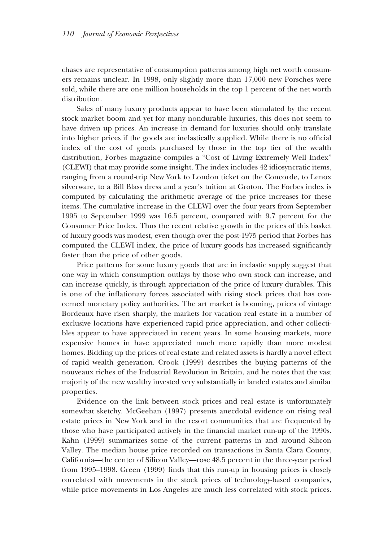chases are representative of consumption patterns among high net worth consumers remains unclear. In 1998, only slightly more than 17,000 new Porsches were sold, while there are one million households in the top 1 percent of the net worth distribution.

Sales of many luxury products appear to have been stimulated by the recent stock market boom and yet for many nondurable luxuries, this does not seem to have driven up prices. An increase in demand for luxuries should only translate into higher prices if the goods are inelastically supplied. While there is no official index of the cost of goods purchased by those in the top tier of the wealth distribution, Forbes magazine compiles a "Cost of Living Extremely Well Index" (CLEWI) that may provide some insight. The index includes 42 idiosyncratic items, ranging from a round-trip New York to London ticket on the Concorde, to Lenox silverware, to a Bill Blass dress and a year's tuition at Groton. The Forbes index is computed by calculating the arithmetic average of the price increases for these items. The cumulative increase in the CLEWI over the four years from September 1995 to September 1999 was 16.5 percent, compared with 9.7 percent for the Consumer Price Index. Thus the recent relative growth in the prices of this basket of luxury goods was modest, even though over the post-1975 period that Forbes has computed the CLEWI index, the price of luxury goods has increased significantly faster than the price of other goods.

Price patterns for some luxury goods that are in inelastic supply suggest that one way in which consumption outlays by those who own stock can increase, and can increase quickly, is through appreciation of the price of luxury durables. This is one of the inflationary forces associated with rising stock prices that has concerned monetary policy authorities. The art market is booming, prices of vintage Bordeaux have risen sharply, the markets for vacation real estate in a number of exclusive locations have experienced rapid price appreciation, and other collectibles appear to have appreciated in recent years. In some housing markets, more expensive homes in have appreciated much more rapidly than more modest homes. Bidding up the prices of real estate and related assets is hardly a novel effect of rapid wealth generation. Crook (1999) describes the buying patterns of the nouveaux riches of the Industrial Revolution in Britain, and he notes that the vast majority of the new wealthy invested very substantially in landed estates and similar properties.

Evidence on the link between stock prices and real estate is unfortunately somewhat sketchy. McGeehan (1997) presents anecdotal evidence on rising real estate prices in New York and in the resort communities that are frequented by those who have participated actively in the financial market run-up of the 1990s. Kahn (1999) summarizes some of the current patterns in and around Silicon Valley. The median house price recorded on transactions in Santa Clara County, California—the center of Silicon Valley—rose 48.5 percent in the three-year period from 1995–1998. Green (1999) finds that this run-up in housing prices is closely correlated with movements in the stock prices of technology-based companies, while price movements in Los Angeles are much less correlated with stock prices.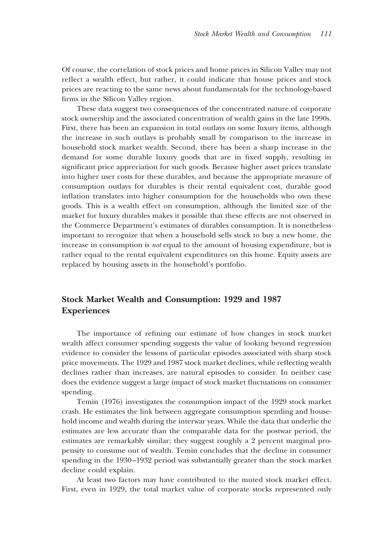Of course, the correlation of stock prices and home prices in Silicon Valley may not reflect a wealth effect, but rather, it could indicate that house prices and stock prices are reacting to the same news about fundamentals for the technology-based firms in the Silicon Valley region.

These data suggest two consequences of the concentrated nature of corporate stock ownership and the associated concentration of wealth gains in the late 1990s. First, there has been an expansion in total outlays on some luxury items, although the increase in such outlays is probably small by comparison to the increase in household stock market wealth. Second, there has been a sharp increase in the demand for some durable luxury goods that are in fixed supply, resulting in significant price appreciation for such goods. Because higher asset prices translate into higher user costs for these durables, and because the appropriate measure of consumption outlays for durables is their rental equivalent cost, durable good inflation translates into higher consumption for the households who own these goods. This is a wealth effect on consumption, although the limited size of the market for luxury durables makes it possible that these effects are not observed in the Commerce Department's estimates of durables consumption. It is nonetheless important to recognize that when a household sells stock to buy a new home, the increase in consumption is *not* equal to the amount of housing expenditure, but is rather equal to the rental equivalent expenditures on this home. Equity assets are replaced by housing assets in the household's portfolio.

### **Stock Market Wealth and Consumption: 1929 and 1987 Experiences**

The importance of refining our estimate of how changes in stock market wealth affect consumer spending suggests the value of looking beyond regression evidence to consider the lessons of particular episodes associated with sharp stock price movements. The 1929 and 1987 stock market declines, while reflecting wealth declines rather than increases, are natural episodes to consider. In neither case does the evidence suggest a large impact of stock market fluctuations on consumer spending.

Temin (1976) investigates the consumption impact of the 1929 stock market crash. He estimates the link between aggregate consumption spending and household income and wealth during the interwar years. While the data that underlie the estimates are less accurate than the comparable data for the postwar period, the estimates are remarkably similar; they suggest roughly a 2 percent marginal propensity to consume out of wealth. Temin concludes that the decline in consumer spending in the 1930–1932 period was substantially greater than the stock market decline could explain.

At least two factors may have contributed to the muted stock market effect. First, even in 1929, the total market value of corporate stocks represented only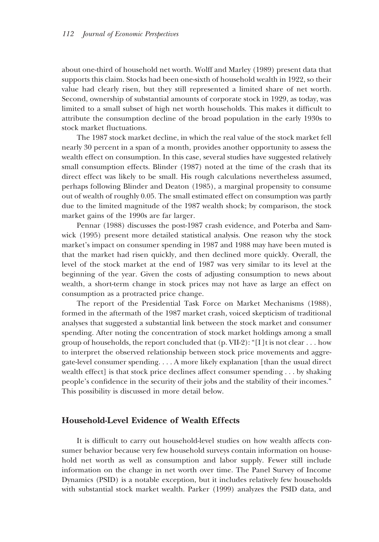about one-third of household net worth. Wolff and Marley (1989) present data that supports this claim. Stocks had been one-sixth of household wealth in 1922, so their value had clearly risen, but they still represented a limited share of net worth. Second, ownership of substantial amounts of corporate stock in 1929, as today, was limited to a small subset of high net worth households. This makes it difficult to attribute the consumption decline of the broad population in the early 1930s to stock market fluctuations.

The 1987 stock market decline, in which the real value of the stock market fell nearly 30 percent in a span of a month, provides another opportunity to assess the wealth effect on consumption. In this case, several studies have suggested relatively small consumption effects. Blinder (1987) noted at the time of the crash that its direct effect was likely to be small. His rough calculations nevertheless assumed, perhaps following Blinder and Deaton (1985), a marginal propensity to consume out of wealth of roughly 0.05. The small estimated effect on consumption was partly due to the limited magnitude of the 1987 wealth shock; by comparison, the stock market gains of the 1990s are far larger.

Pennar (1988) discusses the post-1987 crash evidence, and Poterba and Samwick (1995) present more detailed statistical analysis. One reason why the stock market's impact on consumer spending in 1987 and 1988 may have been muted is that the market had risen quickly, and then declined more quickly. Overall, the level of the stock market at the end of 1987 was very similar to its level at the beginning of the year. Given the costs of adjusting consumption to news about wealth, a short-term change in stock prices may not have as large an effect on consumption as a protracted price change.

The report of the Presidential Task Force on Market Mechanisms (1988), formed in the aftermath of the 1987 market crash, voiced skepticism of traditional analyses that suggested a substantial link between the stock market and consumer spending. After noting the concentration of stock market holdings among a small group of households, the report concluded that (p. VII-2): "[I ]t is not clear . . . how to interpret the observed relationship between stock price movements and aggregate-level consumer spending. . . . A more likely explanation [than the usual direct wealth effect] is that stock price declines affect consumer spending . . . by shaking people's confidence in the security of their jobs and the stability of their incomes." This possibility is discussed in more detail below.

### **Household-Level Evidence of Wealth Effects**

It is difficult to carry out household-level studies on how wealth affects consumer behavior because very few household surveys contain information on household net worth as well as consumption and labor supply. Fewer still include information on the change in net worth over time. The Panel Survey of Income Dynamics (PSID) is a notable exception, but it includes relatively few households with substantial stock market wealth. Parker (1999) analyzes the PSID data, and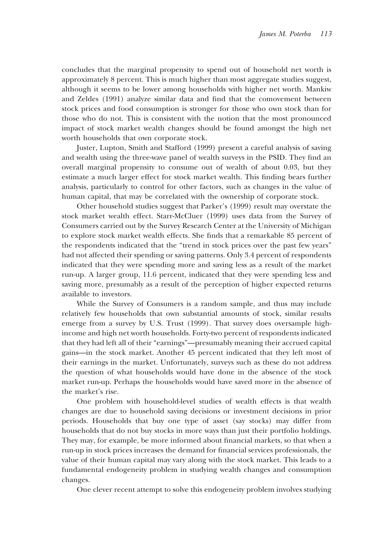concludes that the marginal propensity to spend out of household net worth is approximately 8 percent. This is much higher than most aggregate studies suggest, although it seems to be lower among households with higher net worth. Mankiw and Zeldes (1991) analyze similar data and find that the comovement between stock prices and food consumption is stronger for those who own stock than for those who do not. This is consistent with the notion that the most pronounced impact of stock market wealth changes should be found amongst the high net worth households that own corporate stock.

Juster, Lupton, Smith and Stafford (1999) present a careful analysis of saving and wealth using the three-wave panel of wealth surveys in the PSID. They find an overall marginal propensity to consume out of wealth of about 0.03, but they estimate a much larger effect for stock market wealth. This finding bears further analysis, particularly to control for other factors, such as changes in the value of human capital, that may be correlated with the ownership of corporate stock.

Other household studies suggest that Parker's (1999) result may overstate the stock market wealth effect. Starr-McCluer (1999) uses data from the Survey of Consumers carried out by the Survey Research Center at the University of Michigan to explore stock market wealth effects. She finds that a remarkable 85 percent of the respondents indicated that the "trend in stock prices over the past few years" had not affected their spending or saving patterns. Only 3.4 percent of respondents indicated that they were spending more and saving less as a result of the market run-up. A larger group, 11.6 percent, indicated that they were spending less and saving more, presumably as a result of the perception of higher expected returns available to investors.

While the Survey of Consumers is a random sample, and thus may include relatively few households that own substantial amounts of stock, similar results emerge from a survey by U.S. Trust (1999). That survey does oversample highincome and high net worth households. Forty-two percent of respondents indicated that they had left all of their "earnings"—presumably meaning their accrued capital gains—in the stock market. Another 45 percent indicated that they left most of their earnings in the market. Unfortunately, surveys such as these do not address the question of what households would have done in the absence of the stock market run-up. Perhaps the households would have saved more in the absence of the market's rise.

One problem with household-level studies of wealth effects is that wealth changes are due to household saving decisions or investment decisions in prior periods. Households that buy one type of asset (say stocks) may differ from households that do not buy stocks in more ways than just their portfolio holdings. They may, for example, be more informed about financial markets, so that when a run-up in stock prices increases the demand for financial services professionals, the value of their human capital may vary along with the stock market. This leads to a fundamental endogeneity problem in studying wealth changes and consumption changes.

One clever recent attempt to solve this endogeneity problem involves studying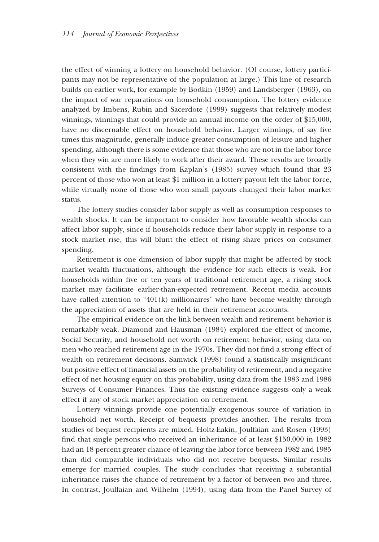the effect of winning a lottery on household behavior. (Of course, lottery participants may not be representative of the population at large.) This line of research builds on earlier work, for example by Bodkin (1959) and Landsberger (1963), on the impact of war reparations on household consumption. The lottery evidence analyzed by Imbens, Rubin and Sacerdote (1999) suggests that relatively modest winnings, winnings that could provide an annual income on the order of \$15,000, have no discernable effect on household behavior. Larger winnings, of say five times this magnitude, generally induce greater consumption of leisure and higher spending, although there is some evidence that those who are not in the labor force when they win are more likely to work after their award. These results are broadly consistent with the findings from Kaplan's (1985) survey which found that 23 percent of those who won at least \$1 million in a lottery payout left the labor force, while virtually none of those who won small payouts changed their labor market status.

The lottery studies consider labor supply as well as consumption responses to wealth shocks. It can be important to consider how favorable wealth shocks can affect labor supply, since if households reduce their labor supply in response to a stock market rise, this will blunt the effect of rising share prices on consumer spending.

Retirement is one dimension of labor supply that might be affected by stock market wealth fluctuations, although the evidence for such effects is weak. For households within five or ten years of traditional retirement age, a rising stock market may facilitate earlier-than-expected retirement. Recent media accounts have called attention to " $401(k)$  millionaires" who have become wealthy through the appreciation of assets that are held in their retirement accounts.

The empirical evidence on the link between wealth and retirement behavior is remarkably weak. Diamond and Hausman (1984) explored the effect of income, Social Security, and household net worth on retirement behavior, using data on men who reached retirement age in the 1970s. They did not find a strong effect of wealth on retirement decisions. Samwick (1998) found a statistically insignificant but positive effect of financial assets on the probability of retirement, and a negative effect of net housing equity on this probability, using data from the 1983 and 1986 Surveys of Consumer Finances. Thus the existing evidence suggests only a weak effect if any of stock market appreciation on retirement.

Lottery winnings provide one potentially exogenous source of variation in household net worth. Receipt of bequests provides another. The results from studies of bequest recipients are mixed. Holtz-Eakin, Joulfaian and Rosen (1993) find that single persons who received an inheritance of at least \$150,000 in 1982 had an 18 percent greater chance of leaving the labor force between 1982 and 1985 than did comparable individuals who did not receive bequests. Similar results emerge for married couples. The study concludes that receiving a substantial inheritance raises the chance of retirement by a factor of between two and three. In contrast, Joulfaian and Wilhelm (1994), using data from the Panel Survey of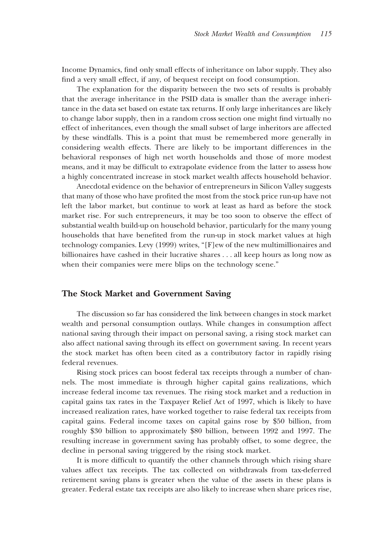Income Dynamics, find only small effects of inheritance on labor supply. They also find a very small effect, if any, of bequest receipt on food consumption.

The explanation for the disparity between the two sets of results is probably that the average inheritance in the PSID data is smaller than the average inheritance in the data set based on estate tax returns. If only large inheritances are likely to change labor supply, then in a random cross section one might find virtually no effect of inheritances, even though the small subset of large inheritors are affected by these windfalls. This is a point that must be remembered more generally in considering wealth effects. There are likely to be important differences in the behavioral responses of high net worth households and those of more modest means, and it may be difficult to extrapolate evidence from the latter to assess how a highly concentrated increase in stock market wealth affects household behavior.

Anecdotal evidence on the behavior of entrepreneurs in Silicon Valley suggests that many of those who have profited the most from the stock price run-up have not left the labor market, but continue to work at least as hard as before the stock market rise. For such entrepreneurs, it may be too soon to observe the effect of substantial wealth build-up on household behavior, particularly for the many young households that have benefited from the run-up in stock market values at high technology companies. Levy (1999) writes, "[F]ew of the new multimillionaires and billionaires have cashed in their lucrative shares . . . all keep hours as long now as when their companies were mere blips on the technology scene."

#### **The Stock Market and Government Saving**

The discussion so far has considered the link between changes in stock market wealth and personal consumption outlays. While changes in consumption affect national saving through their impact on personal saving, a rising stock market can also affect national saving through its effect on government saving. In recent years the stock market has often been cited as a contributory factor in rapidly rising federal revenues.

Rising stock prices can boost federal tax receipts through a number of channels. The most immediate is through higher capital gains realizations, which increase federal income tax revenues. The rising stock market and a reduction in capital gains tax rates in the Taxpayer Relief Act of 1997, which is likely to have increased realization rates, have worked together to raise federal tax receipts from capital gains. Federal income taxes on capital gains rose by \$50 billion, from roughly \$30 billion to approximately \$80 billion, between 1992 and 1997. The resulting increase in government saving has probably offset, to some degree, the decline in personal saving triggered by the rising stock market.

It is more difficult to quantify the other channels through which rising share values affect tax receipts. The tax collected on withdrawals from tax-deferred retirement saving plans is greater when the value of the assets in these plans is greater. Federal estate tax receipts are also likely to increase when share prices rise,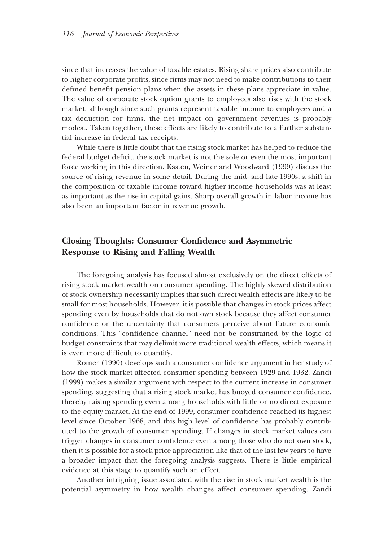since that increases the value of taxable estates. Rising share prices also contribute to higher corporate profits, since firms may not need to make contributions to their defined benefit pension plans when the assets in these plans appreciate in value. The value of corporate stock option grants to employees also rises with the stock market, although since such grants represent taxable income to employees and a tax deduction for firms, the net impact on government revenues is probably modest. Taken together, these effects are likely to contribute to a further substantial increase in federal tax receipts.

While there is little doubt that the rising stock market has helped to reduce the federal budget deficit, the stock market is not the sole or even the most important force working in this direction. Kasten, Weiner and Woodward (1999) discuss the source of rising revenue in some detail. During the mid- and late-1990s, a shift in the composition of taxable income toward higher income households was at least as important as the rise in capital gains. Sharp overall growth in labor income has also been an important factor in revenue growth.

### **Closing Thoughts: Consumer Confidence and Asymmetric Response to Rising and Falling Wealth**

The foregoing analysis has focused almost exclusively on the direct effects of rising stock market wealth on consumer spending. The highly skewed distribution of stock ownership necessarily implies that such direct wealth effects are likely to be small for most households. However, it is possible that changes in stock prices affect spending even by households that do not own stock because they affect consumer confidence or the uncertainty that consumers perceive about future economic conditions. This "confidence channel" need not be constrained by the logic of budget constraints that may delimit more traditional wealth effects, which means it is even more difficult to quantify.

Romer (1990) develops such a consumer confidence argument in her study of how the stock market affected consumer spending between 1929 and 1932. Zandi (1999) makes a similar argument with respect to the current increase in consumer spending, suggesting that a rising stock market has buoyed consumer confidence, thereby raising spending even among households with little or no direct exposure to the equity market. At the end of 1999, consumer confidence reached its highest level since October 1968, and this high level of confidence has probably contributed to the growth of consumer spending. If changes in stock market values can trigger changes in consumer confidence even among those who do not own stock, then it is possible for a stock price appreciation like that of the last few years to have a broader impact that the foregoing analysis suggests. There is little empirical evidence at this stage to quantify such an effect.

Another intriguing issue associated with the rise in stock market wealth is the potential asymmetry in how wealth changes affect consumer spending. Zandi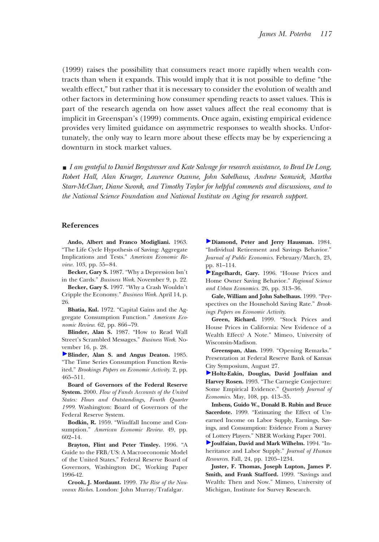(1999) raises the possibility that consumers react more rapidly when wealth contracts than when it expands. This would imply that it is not possible to define "the wealth effect," but rather that it is necessary to consider the evolution of wealth and other factors in determining how consumer spending reacts to asset values. This is part of the research agenda on how asset values affect the real economy that is implicit in Greenspan's (1999) comments. Once again, existing empirical evidence provides very limited guidance on asymmetric responses to wealth shocks. Unfortunately, the only way to learn more about these effects may be by experiencing a downturn in stock market values.

y *I am grateful to Daniel Bergstresser and Kate Salvage for research assistance, to Brad De Long, Robert Hall, Alan Krueger, Lawrence Ozanne, John Sabelhaus, Andrew Samwick, Martha Starr-McCluer, Diane Swonk, and Timothy Taylor for helpful comments and discussions, and to the National Science Foundation and National Institute on Aging for research support.*

#### **References**

**Ando, Albert and Franco Modigliani.** 1963. "The Life Cycle Hypothesis of Saving: Aggregate Implications and Tests." *American Economic Review.* 103, pp. 55–84.

**Becker, Gary S.** 1987. "Why a Depression Isn't in the Cards." *Business Week*. November 9, p. 22.

**Becker, Gary S.** 1997. "Why a Crash Wouldn't Cripple the Economy." *Business Week*. April 14, p. 26.

**Bhatia, Kul.** 1972. "Capital Gains and the Aggregate Consumption Function." *American Economic Review*. 62, pp. 866–79.

**Blinder, Alan S.** 1987. "How to Read Wall Street's Scrambled Messages." *Business Week*. No[vem](http://pubs.aeaweb.org/action/showLinks?crossref=10.2307%2F2534444&citationId=p_6)ber 16, p. 28.

**Blinder, Alan S. and Angus Deaton.** 1985. "The Time Series Consumption Function Revisited." *Brookings Papers on Economic Activity*. 2, pp. 465–511.

**Board of Governors of the Federal Reserve System.** 2000. *Flow of Funds Accounts of the United States: Flows and Outstandings, Fourth Quarter 1999.* Washington: Board of Governors of the Federal Reserve System.

**Bodkin, R.** 1959. "Windfall Income and Consumption." *American Economic Review.* 49, pp. 602–14.

**Brayton, Flint and Peter Tinsley.** 1996. "A Guide to the FRB/US: A Macroeconomic Model of the United States." Federal Reserve Board of Governors, Washington DC, Working Paper 1996-42.

**Crook, J. Mordaunt.** 1999. *The Rise of the Nouveaux Riches*. London: John Murray/Trafalgar.

**Diamond, Peter and Jerry Hausman.** 1984. "Individual Retirement and Savings Behavior." *Journal of Public Economics.* February/March, 23, pp. 81–114.

**Engelhardt, Gary.** 1996. "House Prices and Home Owner Saving Behavior." *Regional Science and Urban Economics.* 26, pp. 313–36.

**Gale, William and John Sabelhaus.** 1999. "Perspectives on the Household Saving Rate." *Brookings Papers on Economic Activity*.

**Green, Richard.** 1999. "Stock Prices and House Prices in California: New Evidence of a Wealth Effect? A Note." Mimeo, University of Wisconsin-Madison.

**Greenspan, Alan.** 1999. "Opening Remarks." Presentation at Federal Reserve Bank of Kansas [Ci](http://pubs.aeaweb.org/action/showLinks?crossref=10.2307%2F2118337&citationId=p_16)ty Symposium, August 27.

**Holtz-Eakin, Douglas, David Joulfaian and Harvey Rosen.** 1993. "The Carnegie Conjecture: Some Empirical Evidence." *Quarterly Journal of Economics.* May, 108, pp. 413–35.

**Imbens, Guido W., Donald B. Rubin and Bruce Sacerdote.** 1999. "Estimating the Effect of Unearned Income on Labor Supply, Earnings, Savings, and Consumption: Evidence From a Survey [of](http://pubs.aeaweb.org/action/showLinks?crossref=10.2307%2F146138&citationId=p_18) Lottery Players." NBER Working Paper 7001.

**Joulfaian, David and Mark Wilhelm.** 1994. "Inheritance and Labor Supply." *Journal of Human Resources.* Fall, 24, pp. 1205–1234.

**Juster, F. Thomas, Joseph Lupton, James P. Smith, and Frank Stafford.** 1999. "Savings and Wealth: Then and Now." Mimeo, University of Michigan, Institute for Survey Research.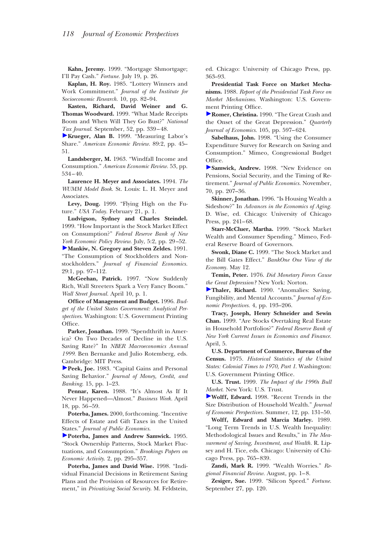**Kahn, Jeremy.** 1999. "Mortgage Shmortgage; I'll Pay Cash." *Fortune.* July 19, p. 26.

**Kaplan, H. Roy.** 1985. "Lottery Winners and Work Commitment." *Journal of the Institute for Socioeconomic Research.* 10, pp. 82–94.

**Kasten, Richard, David Weiner and G. Thomas Woodward.** 1999. "What Made Receipts Boom and When Will They Go Bust?" *National Tax Journal*. September, 52, pp. 339–48.

**Krueger, Alan B.** 1999. "Measuring Labor's Share." *American Economic Review.* 89:2, pp. 45– 51.

**Landsberger, M.** 1963. "Windfall Income and Consumption." *American Economic Review.* 53, pp. 534–40.

**Laurence H. Meyer and Associates.** 1994. *The WUMM Model Book*. St. Louis: L. H. Meyer and Associates.

**Levy, Doug.** 1999. "Flying High on the Future." *USA Today.* February 21, p. 1.

**Ludvigson, Sydney and Charles Steindel.** 1999. "How Important is the Stock Market Effect on Consumption?" *Federal Reserve Bank of New York Economic Policy Review*. July, 5:2, pp. 29–52. **Mankiw, N. Gregory and Steven Zeldes.** 1991. "The Consumption of Stockholders and Nonstockholders." *Journal of Financial Economics.* 29:1, pp. 97–112.

**McGeehan, Patrick.** 1997. "Now Suddenly Rich, Wall Streeters Spark a Very Fancy Boom." *Wall Street Journal.* April 10, p. 1.

**Office of Management and Budget.** 1996. *Budget of the United States Government: Analytical Perspectives*. Washington: U.S. Government Printing Office.

**Parker, Jonathan.** 1999. "Spendthrift in America? On Two Decades of Decline in the U.S. Saving Rate?" In *NBER Macroeconomics Annual 1999.* Ben Bernanke and Julio Rotemberg, eds. Cambridge: MIT Press.

Peek, Joe. 1983. "Capital Gains and Personal Saving Behavior." *Journal of Money, Credit, and Banking*. 15, pp. 1–23.

**Pennar, Karen.** 1988. "It's Almost As If It Never Happened—Almost." *Business Week.* April 18, pp. 56–59.

**Poterba, James.** 2000, forthcoming. "Incentive Effects of Estate and Gift Taxes in the United States." *Journal of Public Economics*.

**Poterba, James and Andrew Samwick.** 1995. "Stock Ownership Patterns, Stock Market Fluctuations, and Consumption." *Brookings Papers on Economic Activity*. 2, pp. 295–357.

**Poterba, James and David Wise.** 1998. "Individual Financial Decisions in Retirement Saving Plans and the Provision of Resources for Retirement," in *Privatizing Social Security*. M. Feldstein,

ed. Chicago: University of Chicago Press, pp. 363–93.

**Presidential Task Force on Market Mechanisms.** 1988. *Report of the Presidential Task Force on Market Mechanisms*. Washington: U.S. Government Printing Office.

**Romer, Christina.** 1990. "The Great Crash and the Onset of the Great Depression." *Quarterly Journal of Economics.* 105, pp. 597–624.

**Sabelhaus, John.** 1998. "Using the Consumer Expenditure Survey for Research on Saving and Consumption." Mimeo, Congressional Budget Office.

**Samwick, Andrew.** 1998. "New Evidence on Pensions, Social Security, and the Timing of Retirement." *Journal of Public Economics.* November, 70, pp. 207–36.

**Skinner, Jonathan.** 1996. "Is Housing Wealth a Sideshow?" In *Advances in the Economics of Aging.* D. Wise, ed. Chicago: University of Chicago Press, pp. 241–68.

**Starr-McCluer, Martha.** 1999. "Stock Market Wealth and Consumer Spending." Mimeo, Federal Reserve Board of Governors.

**Swonk, Diane C.** 1999. "The Stock Market and the Bill Gates Effect." *BankOne One View of the Economy.* May 12.

**Temin, Peter.** 1976. *Did Monetary Forces Cause the Great Depression?* New York: Norton.

**Thaler, Richard.** 1990. "Anomalies: Saving, Fungibility, and Mental Accounts." *Journal of Economic Perspectives.* 4, pp. 193–206.

**Tracy, Joseph, Henry Schneider and Sewin Chan.** 1999. "Are Stocks Overtaking Real Estate in Household Portfolios?" *Federal Reserve Bank of New York Current Issues in Economics and Finance.* April, 5.

**U.S. Department of Commerce, Bureau of the Census.** 1975. *Historical Statistics of the United States: Colonial Times to 1970, Part 1*. Washington: U.S. Government Printing Office.

**U.S. Trust.** 1999. *The Impact of the 1990s Bull [Ma](http://pubs.aeaweb.org/action/showLinks?system=10.1257%2Fjep.12.3.131&citationId=p_51)rket*. New York: U.S. Trust.

**Wolff, Edward.** 1998. "Recent Trends in the Size Distribution of Household Wealth." *Journal of Economic Perspectives.* Summer, 12, pp. 131–50.

**Wolff, Edward and Marcia Marley.** 1989. "Long Term Trends in U.S. Wealth Inequality: Methodological Issues and Results," in *The Measurement of Saving, Investment, and Wealth.* R. Lipsey and H. Tice, eds. Chicago: University of Chicago Press, pp. 765–839.

**Zandi, Mark R.** 1999. "Wealth Worries." *Regional Financial Review.* August, pp. 1–8.

**Zesiger, Sue.** 1999. "Silicon Speed." *Fortune.* September 27, pp. 120.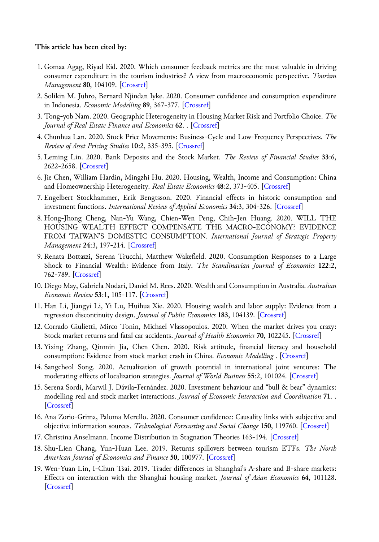#### **This article has been cited by:**

- 1. Gomaa Agag, Riyad Eid. 2020. Which consumer feedback metrics are the most valuable in driving consumer expenditure in the tourism industries? A view from macroeconomic perspective. *Tourism Management* **80**, 104109. [[Crossref\]](https://doi.org/10.1016/j.tourman.2020.104109)
- 2. Solikin M. Juhro, Bernard Njindan Iyke. 2020. Consumer confidence and consumption expenditure in Indonesia. *Economic Modelling* **89**, 367-377. [\[Crossref](https://doi.org/10.1016/j.econmod.2019.11.001)]
- 3. Tong-yob Nam. 2020. Geographic Heterogeneity in Housing Market Risk and Portfolio Choice. *The Journal of Real Estate Finance and Economics* **62**. . [[Crossref\]](https://doi.org/10.1007/s11146-020-09762-9)
- 4. Chunhua Lan. 2020. Stock Price Movements: Business-Cycle and Low-Frequency Perspectives. *The Review of Asset Pricing Studies* **10**:2, 335-395. [\[Crossref](https://doi.org/10.1093/rapstu/raaa002)]
- 5. Leming Lin. 2020. Bank Deposits and the Stock Market. *The Review of Financial Studies* **33**:6, 2622-2658. [[Crossref\]](https://doi.org/10.1093/rfs/hhz078)
- 6. Jie Chen, William Hardin, Mingzhi Hu. 2020. Housing, Wealth, Income and Consumption: China and Homeownership Heterogeneity. *Real Estate Economics* **48**:2, 373-405. [[Crossref\]](https://doi.org/10.1111/1540-6229.12245)
- 7. Engelbert Stockhammer, Erik Bengtsson. 2020. Financial effects in historic consumption and investment functions. *International Review of Applied Economics* **34**:3, 304-326. [[Crossref\]](https://doi.org/10.1080/02692171.2020.1732307)
- 8. Hong-Jhong Cheng, Nan-Yu Wang, Chien-Wen Peng, Chih-Jen Huang. 2020. WILL THE HOUSING WEALTH EFFECT COMPENSATE THE MACRO-ECONOMY? EVIDENCE FROM TAIWAN'S DOMESTIC CONSUMPTION. *International Journal of Strategic Property Management* **24**:3, 197-214. [\[Crossref](https://doi.org/10.3846/ijspm.2020.12169)]
- 9. Renata Bottazzi, Serena Trucchi, Matthew Wakefield. 2020. Consumption Responses to a Large Shock to Financial Wealth: Evidence from Italy. *The Scandinavian Journal of Economics* **122**:2, 762-789. [\[Crossref\]](https://doi.org/10.1111/sjoe.12339)
- 10.Diego May, Gabriela Nodari, Daniel M. Rees. 2020. Wealth and Consumption in Australia. *Australian Economic Review* **53**:1, 105-117. [[Crossref\]](https://doi.org/10.1111/1467-8462.12364)
- 11. Han Li, Jiangyi Li, Yi Lu, Huihua Xie. 2020. Housing wealth and labor supply: Evidence from a regression discontinuity design. *Journal of Public Economics* **183**, 104139. [\[Crossref](https://doi.org/10.1016/j.jpubeco.2020.104139)]
- 12. Corrado Giulietti, Mirco Tonin, Michael Vlassopoulos. 2020. When the market drives you crazy: Stock market returns and fatal car accidents. *Journal of Health Economics* **70**, 102245. [[Crossref\]](https://doi.org/10.1016/j.jhealeco.2019.102245)
- 13. Yixing Zhang, Qinmin Jia, Chen Chen. 2020. Risk attitude, financial literacy and household consumption: Evidence from stock market crash in China. *Economic Modelling* . [[Crossref\]](https://doi.org/10.1016/j.econmod.2020.02.040)
- 14. Sangcheol Song. 2020. Actualization of growth potential in international joint ventures: The moderating effects of localization strategies. *Journal of World Business* **55**:2, 101024. [[Crossref\]](https://doi.org/10.1016/j.jwb.2019.101024)
- 15. Serena Sordi, Marwil J. Dávila-Fernández. 2020. Investment behaviour and "bull & bear" dynamics: modelling real and stock market interactions. *Journal of Economic Interaction and Coordination* **71**. . [\[Crossref](https://doi.org/10.1007/s11403-019-00279-w)]
- 16. Ana Zorio-Grima, Paloma Merello. 2020. Consumer confidence: Causality links with subjective and objective information sources. *Technological Forecasting and Social Change* **150**, 119760. [\[Crossref](https://doi.org/10.1016/j.techfore.2019.119760)]
- 17. Christina Anselmann. Income Distribution in Stagnation Theories 163-194. [\[Crossref](https://doi.org/10.1007/978-3-030-41087-2_7)]
- 18. Shu-Lien Chang, Yun-Huan Lee. 2019. Returns spillovers between tourism ETFs. *The North American Journal of Economics and Finance* **50**, 100977. [[Crossref\]](https://doi.org/10.1016/j.najef.2019.04.020)
- 19. Wen-Yuan Lin, I-Chun Tsai. 2019. Trader differences in Shanghai's A-share and B-share markets: Effects on interaction with the Shanghai housing market. *Journal of Asian Economics* **64**, 101128. [\[Crossref](https://doi.org/10.1016/j.asieco.2019.07.001)]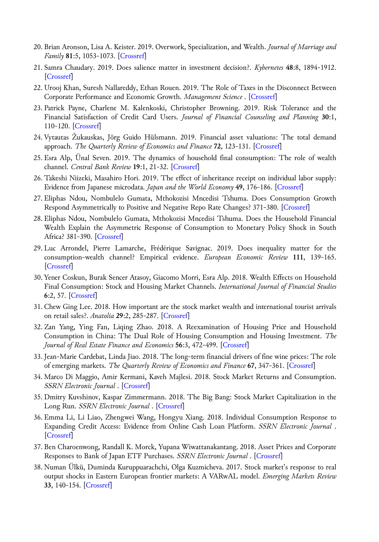- 20. Brian Aronson, Lisa A. Keister. 2019. Overwork, Specialization, and Wealth. *Journal of Marriage and Family* **81**:5, 1053-1073. [[Crossref\]](https://doi.org/10.1111/jomf.12596)
- 21. Samra Chaudary. 2019. Does salience matter in investment decision?. *Kybernetes* **48**:8, 1894-1912. [\[Crossref](https://doi.org/10.1108/K-09-2018-0490)]
- 22. Urooj Khan, Suresh Nallareddy, Ethan Rouen. 2019. The Role of Taxes in the Disconnect Between Corporate Performance and Economic Growth. *Management Science* . [[Crossref\]](https://doi.org/10.1287/mnsc.2019.3350)
- 23. Patrick Payne, Charlene M. Kalenkoski, Christopher Browning. 2019. Risk Tolerance and the Financial Satisfaction of Credit Card Users. *Journal of Financial Counseling and Planning* **30**:1, 110-120. [\[Crossref\]](https://doi.org/10.1891/1052-3073.30.1.110)
- 24. Vytautas Žukauskas, Jörg Guido Hülsmann. 2019. Financial asset valuations: The total demand approach. *The Quarterly Review of Economics and Finance* **72**, 123-131. [[Crossref\]](https://doi.org/10.1016/j.qref.2018.11.004)
- 25. Esra Alp, Ünal Seven. 2019. The dynamics of household final consumption: The role of wealth channel. *Central Bank Review* **19**:1, 21-32. [\[Crossref](https://doi.org/10.1016/j.cbrev.2019.03.002)]
- 26. Takeshi Niizeki, Masahiro Hori. 2019. The effect of inheritance receipt on individual labor supply: Evidence from Japanese microdata. *Japan and the World Economy* **49**, 176-186. [[Crossref\]](https://doi.org/10.1016/j.japwor.2018.11.004)
- 27. Eliphas Ndou, Nombulelo Gumata, Mthokozisi Mncedisi Tshuma. Does Consumption Growth Respond Asymmetrically to Positive and Negative Repo Rate Changes? 371-380. [\[Crossref](https://doi.org/10.1007/978-3-030-13932-2_28)]
- 28. Eliphas Ndou, Nombulelo Gumata, Mthokozisi Mncedisi Tshuma. Does the Household Financial Wealth Explain the Asymmetric Response of Consumption to Monetary Policy Shock in South Africa? 381-390. [\[Crossref](https://doi.org/10.1007/978-3-030-13932-2_29)]
- 29. Luc Arrondel, Pierre Lamarche, Frédérique Savignac. 2019. Does inequality matter for the consumption-wealth channel? Empirical evidence. *European Economic Review* **111**, 139-165. [\[Crossref](https://doi.org/10.1016/j.euroecorev.2018.09.002)]
- 30. Yener Coskun, Burak Sencer Atasoy, Giacomo Morri, Esra Alp. 2018. Wealth Effects on Household Final Consumption: Stock and Housing Market Channels. *International Journal of Financial Studies* **6**:2, 57. [\[Crossref](https://doi.org/10.3390/ijfs6020057)]
- 31. Chew Ging Lee. 2018. How important are the stock market wealth and international tourist arrivals on retail sales?. *Anatolia* **29**:2, 285-287. [\[Crossref](https://doi.org/10.1080/13032917.2018.1467331)]
- 32. Zan Yang, Ying Fan, Liqing Zhao. 2018. A Reexamination of Housing Price and Household Consumption in China: The Dual Role of Housing Consumption and Housing Investment. *The Journal of Real Estate Finance and Economics* **56**:3, 472-499. [\[Crossref](https://doi.org/10.1007/s11146-017-9648-6)]
- 33. Jean-Marie Cardebat, Linda Jiao. 2018. The long-term financial drivers of fine wine prices: The role of emerging markets. *The Quarterly Review of Economics and Finance* **67**, 347-361. [\[Crossref](https://doi.org/10.1016/j.qref.2017.07.016)]
- 34. Marco Di Maggio, Amir Kermani, Kaveh Majlesi. 2018. Stock Market Returns and Consumption. *SSRN Electronic Journal* . [[Crossref\]](https://doi.org/10.2139/ssrn.3103538)
- 35.Dmitry Kuvshinov, Kaspar Zimmermann. 2018. The Big Bang: Stock Market Capitalization in the Long Run. *SSRN Electronic Journal* . [\[Crossref](https://doi.org/10.2139/ssrn.3236076)]
- 36. Emma Li, Li Liao, Zhengwei Wang, Hongyu Xiang. 2018. Individual Consumption Response to Expanding Credit Access: Evidence from Online Cash Loan Platform. *SSRN Electronic Journal* . [\[Crossref](https://doi.org/10.2139/ssrn.3257731)]
- 37. Ben Charoenwong, Randall K. Morck, Yupana Wiwattanakantang. 2018. Asset Prices and Corporate Responses to Bank of Japan ETF Purchases. *SSRN Electronic Journal* . [[Crossref\]](https://doi.org/10.2139/ssrn.3310561)
- 38. Numan Ülkü, Duminda Kuruppuarachchi, Olga Kuzmicheva. 2017. Stock market's response to real output shocks in Eastern European frontier markets: A VARwAL model. *Emerging Markets Review* **33**, 140-154. [\[Crossref](https://doi.org/10.1016/j.ememar.2017.09.004)]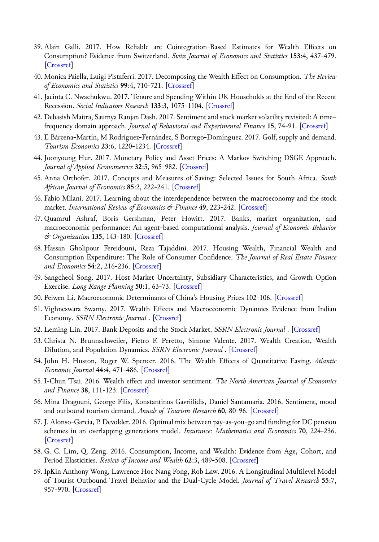- 39. Alain Galli. 2017. How Reliable are Cointegration-Based Estimates for Wealth Effects on Consumption? Evidence from Switzerland. *Swiss Journal of Economics and Statistics* **153**:4, 437-479. [\[Crossref](https://doi.org/10.1007/BF03399514)]
- 40. Monica Paiella, Luigi Pistaferri. 2017. Decomposing the Wealth Effect on Consumption. *The Review of Economics and Statistics* **99**:4, 710-721. [\[Crossref](https://doi.org/10.1162/REST_a_00629)]
- 41. Jacinta C. Nwachukwu. 2017. Tenure and Spending Within UK Households at the End of the Recent Recession. *Social Indicators Research* **133**:3, 1075-1104. [[Crossref\]](https://doi.org/10.1007/s11205-016-1409-z)
- 42.Debasish Maitra, Saumya Ranjan Dash. 2017. Sentiment and stock market volatility revisited: A time– frequency domain approach. *Journal of Behavioral and Experimental Finance* **15**, 74-91. [\[Crossref](https://doi.org/10.1016/j.jbef.2017.07.009)]
- 43. E Bárcena-Martín, M Rodríguez-Fernández, S Borrego-Domínguez. 2017. Golf, supply and demand. *Tourism Economics* **23**:6, 1220-1234. [\[Crossref](https://doi.org/10.1177/1354816616674612)]
- 44. Joonyoung Hur. 2017. Monetary Policy and Asset Prices: A Markov-Switching DSGE Approach. *Journal of Applied Econometrics* **32**:5, 965-982. [\[Crossref](https://doi.org/10.1002/jae.2560)]
- 45. Anna Orthofer. 2017. Concepts and Measures of Saving: Selected Issues for South Africa. *South African Journal of Economics* **85**:2, 222-241. [[Crossref\]](https://doi.org/10.1111/saje.12129)
- 46. Fabio Milani. 2017. Learning about the interdependence between the macroeconomy and the stock market. *International Review of Economics & Finance* **49**, 223-242. [\[Crossref](https://doi.org/10.1016/j.iref.2017.01.028)]
- 47. Quamrul Ashraf, Boris Gershman, Peter Howitt. 2017. Banks, market organization, and macroeconomic performance: An agent-based computational analysis. *Journal of Economic Behavior & Organization* **135**, 143-180. [[Crossref\]](https://doi.org/10.1016/j.jebo.2016.12.023)
- 48. Hassan Gholipour Fereidouni, Reza Tajaddini. 2017. Housing Wealth, Financial Wealth and Consumption Expenditure: The Role of Consumer Confidence. *The Journal of Real Estate Finance and Economics* **54**:2, 216-236. [\[Crossref](https://doi.org/10.1007/s11146-015-9537-9)]
- 49. Sangcheol Song. 2017. Host Market Uncertainty, Subsidiary Characteristics, and Growth Option Exercise. *Long Range Planning* **50**:1, 63-73. [[Crossref\]](https://doi.org/10.1016/j.lrp.2016.03.001)
- 50. Peiwen Li. Macroeconomic Determinants of China's Housing Prices 102-106. [[Crossref\]](https://doi.org/10.1145/3157754.3157780)
- 51. Vighneswara Swamy. 2017. Wealth Effects and Macroeconomic Dynamics Evidence from Indian Economy. *SSRN Electronic Journal* . [\[Crossref](https://doi.org/10.2139/ssrn.2916782)]
- 52. Leming Lin. 2017. Bank Deposits and the Stock Market. *SSRN Electronic Journal* . [[Crossref\]](https://doi.org/10.2139/ssrn.2986251)
- 53. Christa N. Brunnschweiler, Pietro F. Peretto, Simone Valente. 2017. Wealth Creation, Wealth Dilution, and Population Dynamics. *SSRN Electronic Journal* . [[Crossref\]](https://doi.org/10.2139/ssrn.3062798)
- 54. John H. Huston, Roger W. Spencer. 2016. The Wealth Effects of Quantitative Easing. *Atlantic Economic Journal* **44**:4, 471-486. [[Crossref\]](https://doi.org/10.1007/s11293-016-9511-9)
- 55. I-Chun Tsai. 2016. Wealth effect and investor sentiment. *The North American Journal of Economics and Finance* **38**, 111-123. [\[Crossref](https://doi.org/10.1016/j.najef.2016.09.001)]
- 56. Mina Dragouni, George Filis, Konstantinos Gavriilidis, Daniel Santamaria. 2016. Sentiment, mood and outbound tourism demand. *Annals of Tourism Research* **60**, 80-96. [[Crossref\]](https://doi.org/10.1016/j.annals.2016.06.004)
- 57. J. Alonso-García, P. Devolder. 2016. Optimal mix between pay-as-you-go and funding for DC pension schemes in an overlapping generations model. *Insurance: Mathematics and Economics* **70**, 224-236. [\[Crossref](https://doi.org/10.1016/j.insmatheco.2016.06.011)]
- 58. G. C. Lim, Q. Zeng. 2016. Consumption, Income, and Wealth: Evidence from Age, Cohort, and Period Elasticities. *Review of Income and Wealth* **62**:3, 489-508. [[Crossref\]](https://doi.org/10.1111/roiw.12182)
- 59. IpKin Anthony Wong, Lawrence Hoc Nang Fong, Rob Law. 2016. A Longitudinal Multilevel Model of Tourist Outbound Travel Behavior and the Dual-Cycle Model. *Journal of Travel Research* **55**:7, 957-970. [\[Crossref\]](https://doi.org/10.1177/0047287515601239)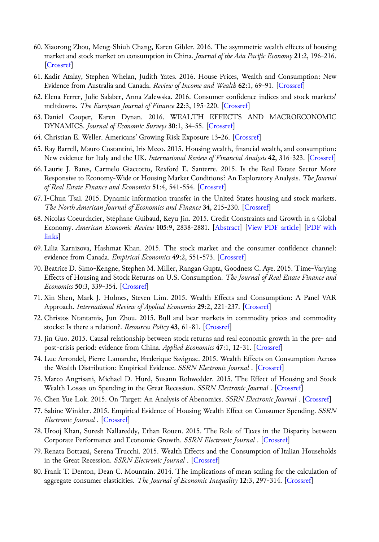- 60. Xiaorong Zhou, Meng-Shiuh Chang, Karen Gibler. 2016. The asymmetric wealth effects of housing market and stock market on consumption in China. *Journal of the Asia Pacific Economy* **21**:2, 196-216. [\[Crossref](https://doi.org/10.1080/13547860.2015.1094176)]
- 61. Kadir Atalay, Stephen Whelan, Judith Yates. 2016. House Prices, Wealth and Consumption: New Evidence from Australia and Canada. *Review of Income and Wealth* **62**:1, 69-91. [\[Crossref](https://doi.org/10.1111/roiw.12145)]
- 62. Elena Ferrer, Julie Salaber, Anna Zalewska. 2016. Consumer confidence indices and stock markets' meltdowns. *The European Journal of Finance* **22**:3, 195-220. [\[Crossref](https://doi.org/10.1080/1351847X.2014.963634)]
- 63.Daniel Cooper, Karen Dynan. 2016. WEALTH EFFECTS AND MACROECONOMIC DYNAMICS. *Journal of Economic Surveys* **30**:1, 34-55. [\[Crossref](https://doi.org/10.1111/joes.12090)]
- 64. Christian E. Weller. Americans' Growing Risk Exposure 13-26. [\[Crossref](https://doi.org/10.1057/9781137575142_2)]
- 65. Ray Barrell, Mauro Costantini, Iris Meco. 2015. Housing wealth, financial wealth, and consumption: New evidence for Italy and the UK. *International Review of Financial Analysis* **42**, 316-323. [[Crossref\]](https://doi.org/10.1016/j.irfa.2015.08.007)
- 66. Laurie J. Bates, Carmelo Giaccotto, Rexford E. Santerre. 2015. Is the Real Estate Sector More Responsive to Economy-Wide or Housing Market Conditions? An Exploratory Analysis. *The Journal of Real Estate Finance and Economics* **51**:4, 541-554. [[Crossref\]](https://doi.org/10.1007/s11146-014-9491-y)
- 67. I-Chun Tsai. 2015. Dynamic information transfer in the United States housing and stock markets. *The North American Journal of Economics and Finance* **34**, 215-230. [\[Crossref](https://doi.org/10.1016/j.najef.2015.09.012)]
- 68. Nicolas Coeurdacier, Stéphane Guibaud, Keyu Jin. 2015. Credit Constraints and Growth in a Global Economy. *American Economic Review* **105**:9, 2838-2881. [[Abstract\]](https://doi.org/10.1257/aer.20130549) [\[View PDF article](http://pubs.aeaweb.org/doi/pdf/10.1257/aer.20130549)] [[PDF with](http://pubs.aeaweb.org/doi/pdfplus/10.1257/aer.20130549) [links](http://pubs.aeaweb.org/doi/pdfplus/10.1257/aer.20130549)]
- 69. Lilia Karnizova, Hashmat Khan. 2015. The stock market and the consumer confidence channel: evidence from Canada. *Empirical Economics* **49**:2, 551-573. [\[Crossref](https://doi.org/10.1007/s00181-014-0873-z)]
- 70. Beatrice D. Simo-Kengne, Stephen M. Miller, Rangan Gupta, Goodness C. Aye. 2015. Time-Varying Effects of Housing and Stock Returns on U.S. Consumption. *The Journal of Real Estate Finance and Economics* **50**:3, 339-354. [[Crossref\]](https://doi.org/10.1007/s11146-014-9470-3)
- 71. Xin Shen, Mark J. Holmes, Steven Lim. 2015. Wealth Effects and Consumption: A Panel VAR Approach. *International Review of Applied Economics* **29**:2, 221-237. [[Crossref\]](https://doi.org/10.1080/02692171.2014.983050)
- 72. Christos Ntantamis, Jun Zhou. 2015. Bull and bear markets in commodity prices and commodity stocks: Is there a relation?. *Resources Policy* **43**, 61-81. [\[Crossref](https://doi.org/10.1016/j.resourpol.2014.10.002)]
- 73. Jin Guo. 2015. Causal relationship between stock returns and real economic growth in the pre- and post-crisis period: evidence from China. *Applied Economics* **47**:1, 12-31. [[Crossref\]](https://doi.org/10.1080/00036846.2014.959653)
- 74. Luc Arrondel, Pierre Lamarche, Frederique Savignac. 2015. Wealth Effects on Consumption Across the Wealth Distribution: Empirical Evidence. *SSRN Electronic Journal* . [[Crossref\]](https://doi.org/10.2139/ssrn.2607504)
- 75. Marco Angrisani, Michael D. Hurd, Susann Rohwedder. 2015. The Effect of Housing and Stock Wealth Losses on Spending in the Great Recession. *SSRN Electronic Journal* . [\[Crossref](https://doi.org/10.2139/ssrn.2616945)]
- 76. Chen Yue Lok. 2015. On Target: An Analysis of Abenomics. *SSRN Electronic Journal* . [[Crossref\]](https://doi.org/10.2139/ssrn.2656453)
- 77. Sabine Winkler. 2015. Empirical Evidence of Housing Wealth Effect on Consumer Spending. *SSRN Electronic Journal* . [[Crossref\]](https://doi.org/10.2139/ssrn.2695778)
- 78. Urooj Khan, Suresh Nallareddy, Ethan Rouen. 2015. The Role of Taxes in the Disparity between Corporate Performance and Economic Growth. *SSRN Electronic Journal* . [\[Crossref](https://doi.org/10.2139/ssrn.2712582)]
- 79. Renata Bottazzi, Serena Trucchi. 2015. Wealth Effects and the Consumption of Italian Households in the Great Recession. *SSRN Electronic Journal* . [\[Crossref](https://doi.org/10.2139/ssrn.2932993)]
- 80. Frank T. Denton, Dean C. Mountain. 2014. The implications of mean scaling for the calculation of aggregate consumer elasticities. *The Journal of Economic Inequality* **12**:3, 297-314. [\[Crossref](https://doi.org/10.1007/s10888-013-9256-5)]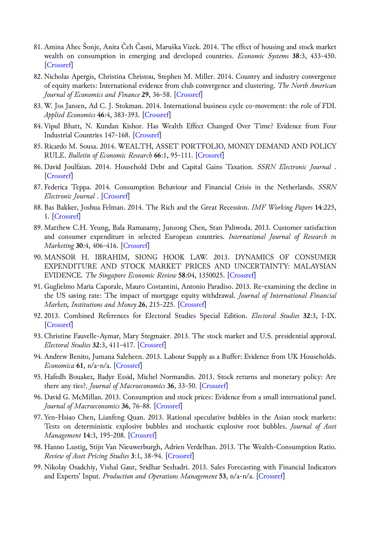- 81. Amina Ahec Šonje, Anita Čeh Časni, Maruška Vizek. 2014. The effect of housing and stock market wealth on consumption in emerging and developed countries. *Economic Systems* **38**:3, 433-450. [\[Crossref](https://doi.org/10.1016/j.ecosys.2014.03.001)]
- 82. Nicholas Apergis, Christina Christou, Stephen M. Miller. 2014. Country and industry convergence of equity markets: International evidence from club convergence and clustering. *The North American Journal of Economics and Finance* **29**, 36-58. [[Crossref\]](https://doi.org/10.1016/j.najef.2014.05.002)
- 83. W. Jos Jansen, Ad C. J. Stokman. 2014. International business cycle co-movement: the role of FDI. *Applied Economics* **46**:4, 383-393. [\[Crossref](https://doi.org/10.1080/00036846.2013.844327)]
- 84. Vipul Bhatt, N. Kundan Kishor. Has Wealth Effect Changed Over Time? Evidence from Four Industrial Countries 147-168. [[Crossref\]](https://doi.org/10.1007/978-1-4614-8060-0_8)
- 85. Ricardo M. Sousa. 2014. WEALTH, ASSET PORTFOLIO, MONEY DEMAND AND POLICY RULE. *Bulletin of Economic Research* **66**:1, 95-111. [\[Crossref](https://doi.org/10.1111/j.1467-8586.2011.00431.x)]
- 86.David Joulfaian. 2014. Household Debt and Capital Gains Taxation. *SSRN Electronic Journal* . [\[Crossref](https://doi.org/10.2139/ssrn.2500993)]
- 87. Federica Teppa. 2014. Consumption Behaviour and Financial Crisis in the Netherlands. *SSRN Electronic Journal* . [[Crossref\]](https://doi.org/10.2139/ssrn.2540474)
- 88. Bas Bakker, Joshua Felman. 2014. The Rich and the Great Recession. *IMF Working Papers* **14**:225, 1. [\[Crossref](https://doi.org/10.5089/9781498307376.001)]
- 89. Matthew C.H. Yeung, Bala Ramasamy, Junsong Chen, Stan Paliwoda. 2013. Customer satisfaction and consumer expenditure in selected European countries. *International Journal of Research in Marketing* **30**:4, 406-416. [[Crossref\]](https://doi.org/10.1016/j.ijresmar.2013.06.001)
- 90. MANSOR H. IBRAHIM, SIONG HOOK LAW. 2013. DYNAMICS OF CONSUMER EXPENDITURE AND STOCK MARKET PRICES AND UNCERTAINTY: MALAYSIAN EVIDENCE. *The Singapore Economic Review* **58**:04, 1350025. [\[Crossref](https://doi.org/10.1142/S0217590813500252)]
- 91. Guglielmo Maria Caporale, Mauro Costantini, Antonio Paradiso. 2013. Re-examining the decline in the US saving rate: The impact of mortgage equity withdrawal. *Journal of International Financial Markets, Institutions and Money* **26**, 215-225. [\[Crossref](https://doi.org/10.1016/j.intfin.2013.06.001)]
- 92. 2013. Combined References for Electoral Studies Special Edition. *Electoral Studies* **32**:3, I-IX. [\[Crossref](https://doi.org/10.1016/S0261-3794(13)00106-6)]
- 93. Christine Fauvelle-Aymar, Mary Stegmaier. 2013. The stock market and U.S. presidential approval. *Electoral Studies* **32**:3, 411-417. [[Crossref\]](https://doi.org/10.1016/j.electstud.2013.05.024)
- 94. Andrew Benito, Jumana Saleheen. 2013. Labour Supply as a Buffer: Evidence from UK Households. *Economica* **61**, n/a-n/a. [\[Crossref](https://doi.org/10.1111/ecca.12030)]
- 95. Hafedh Bouakez, Badye Essid, Michel Normandin. 2013. Stock returns and monetary policy: Are there any ties?. *Journal of Macroeconomics* **36**, 33-50. [\[Crossref](https://doi.org/10.1016/j.jmacro.2013.01.002)]
- 96.David G. McMillan. 2013. Consumption and stock prices: Evidence from a small international panel. *Journal of Macroeconomics* **36**, 76-88. [[Crossref\]](https://doi.org/10.1016/j.jmacro.2013.01.007)
- 97. Yen-Hsiao Chen, Lianfeng Quan. 2013. Rational speculative bubbles in the Asian stock markets: Tests on deterministic explosive bubbles and stochastic explosive root bubbles. *Journal of Asset Management* **14**:3, 195-208. [\[Crossref](https://doi.org/10.1057/jam.2013.13)]
- 98. Hanno Lustig, Stijn Van Nieuwerburgh, Adrien Verdelhan. 2013. The Wealth-Consumption Ratio. *Review of Asset Pricing Studies* **3**:1, 38-94. [\[Crossref](https://doi.org/10.1093/rapstu/rat002)]
- 99. Nikolay Osadchiy, Vishal Gaur, Sridhar Seshadri. 2013. Sales Forecasting with Financial Indicators and Experts' Input. *Production and Operations Management* **53**, n/a-n/a. [[Crossref\]](https://doi.org/10.1111/poms.12022)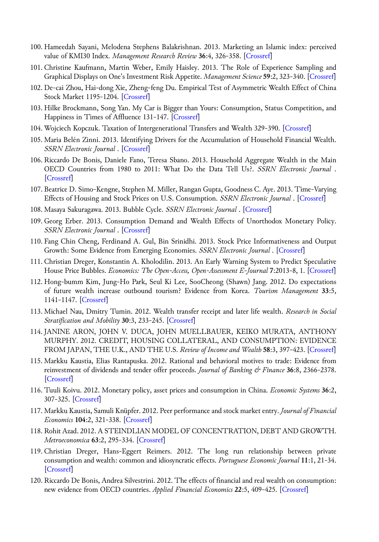- 100. Hameedah Sayani, Melodena Stephens Balakrishnan. 2013. Marketing an Islamic index: perceived value of KMI30 Index. *Management Research Review* **36**:4, 326-358. [\[Crossref](https://doi.org/10.1108/01409171311314969)]
- 101. Christine Kaufmann, Martin Weber, Emily Haisley. 2013. The Role of Experience Sampling and Graphical Displays on One's Investment Risk Appetite. *Management Science* **59**:2, 323-340. [[Crossref\]](https://doi.org/10.1287/mnsc.1120.1607)
- 102.De-cai Zhou, Hai-dong Xie, Zheng-feng Du. Empirical Test of Asymmetric Wealth Effect of China Stock Market 1195-1204. [\[Crossref](https://doi.org/10.1007/978-3-642-38433-2_125)]
- 103. Hilke Brockmann, Song Yan. My Car is Bigger than Yours: Consumption, Status Competition, and Happiness in Times of Affluence 131-147. [[Crossref\]](https://doi.org/10.1007/978-94-007-6609-9_10)
- 104. Wojciech Kopczuk. Taxation of Intergenerational Transfers and Wealth 329-390. [[Crossref\]](https://doi.org/10.1016/B978-0-444-53759-1.00006-6)
- 105. Maria Belén Zinni. 2013. Identifying Drivers for the Accumulation of Household Financial Wealth. *SSRN Electronic Journal* . [[Crossref\]](https://doi.org/10.2139/ssrn.2214962)
- 106. Riccardo De Bonis, Daniele Fano, Teresa Sbano. 2013. Household Aggregate Wealth in the Main OECD Countries from 1980 to 2011: What Do the Data Tell Us?. *SSRN Electronic Journal* . [\[Crossref](https://doi.org/10.2139/ssrn.2261189)]
- 107. Beatrice D. Simo-Kengne, Stephen M. Miller, Rangan Gupta, Goodness C. Aye. 2013. Time-Varying Effects of Housing and Stock Prices on U.S. Consumption. *SSRN Electronic Journal* . [\[Crossref](https://doi.org/10.2139/ssrn.2274315)]
- 108. Masaya Sakuragawa. 2013. Bubble Cycle. *SSRN Electronic Journal* . [\[Crossref](https://doi.org/10.2139/ssrn.2292527)]
- 109. Georg Erber. 2013. Consumption Demand and Wealth Effects of Unorthodox Monetary Policy. *SSRN Electronic Journal* . [[Crossref\]](https://doi.org/10.2139/ssrn.2294951)
- 110. Fang Chin Cheng, Ferdinand A. Gul, Bin Srinidhi. 2013. Stock Price Informativeness and Output Growth: Some Evidence from Emerging Economies. *SSRN Electronic Journal* . [\[Crossref](https://doi.org/10.2139/ssrn.2311290)]
- 111. Christian Dreger, Konstantin A. Kholodilin. 2013. An Early Warning System to Predict Speculative House Price Bubbles. *Economics: The Open-Access, Open-Assessment E-Journal* **7**:2013-8, 1. [[Crossref\]](https://doi.org/10.5018/economics-ejournal.ja.2013-8)
- 112. Hong-bumm Kim, Jung-Ho Park, Seul Ki Lee, SooCheong (Shawn) Jang. 2012. Do expectations of future wealth increase outbound tourism? Evidence from Korea. *Tourism Management* **33**:5, 1141-1147. [[Crossref\]](https://doi.org/10.1016/j.tourman.2011.11.017)
- 113. Michael Nau, Dmitry Tumin. 2012. Wealth transfer receipt and later life wealth. *Research in Social Stratification and Mobility* **30**:3, 233-245. [[Crossref\]](https://doi.org/10.1016/j.rssm.2012.01.003)
- 114. JANINE ARON, JOHN V. DUCA, JOHN MUELLBAUER, KEIKO MURATA, ANTHONY MURPHY. 2012. CREDIT, HOUSING COLLATERAL, AND CONSUMPTION: EVIDENCE FROM JAPAN, THE U.K., AND THE U.S. *Review of Income and Wealth* **58**:3, 397-423. [[Crossref\]](https://doi.org/10.1111/j.1475-4991.2011.00466.x)
- 115. Markku Kaustia, Elias Rantapuska. 2012. Rational and behavioral motives to trade: Evidence from reinvestment of dividends and tender offer proceeds. *Journal of Banking & Finance* **36**:8, 2366-2378. [\[Crossref](https://doi.org/10.1016/j.jbankfin.2012.04.015)]
- 116. Tuuli Koivu. 2012. Monetary policy, asset prices and consumption in China. *Economic Systems* **36**:2, 307-325. [\[Crossref\]](https://doi.org/10.1016/j.ecosys.2011.07.001)
- 117. Markku Kaustia, Samuli Knüpfer. 2012. Peer performance and stock market entry. *Journal of Financial Economics* **104**:2, 321-338. [\[Crossref](https://doi.org/10.1016/j.jfineco.2011.01.010)]
- 118. Rohit Azad. 2012. A STEINDLIAN MODEL OF CONCENTRATION, DEBT AND GROWTH. *Metroeconomica* **63**:2, 295-334. [[Crossref\]](https://doi.org/10.1111/j.1467-999X.2011.04138.x)
- 119. Christian Dreger, Hans-Eggert Reimers. 2012. The long run relationship between private consumption and wealth: common and idiosyncratic effects. *Portuguese Economic Journal* **11**:1, 21-34. [\[Crossref](https://doi.org/10.1007/s10258-011-0075-y)]
- 120. Riccardo De Bonis, Andrea Silvestrini. 2012. The effects of financial and real wealth on consumption: new evidence from OECD countries. *Applied Financial Economics* **22**:5, 409-425. [\[Crossref](https://doi.org/10.1080/09603107.2011.613773)]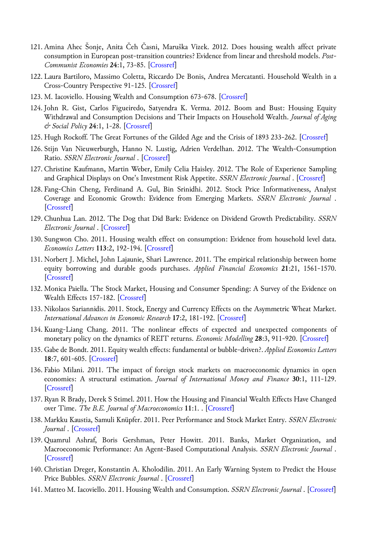- 121. Amina Ahec Šonje, Anita Čeh Časni, Maruška Vizek. 2012. Does housing wealth affect private consumption in European post-transition countries? Evidence from linear and threshold models. *Post-Communist Economies* **24**:1, 73-85. [[Crossref\]](https://doi.org/10.1080/14631377.2012.647629)
- 122. Laura Bartiloro, Massimo Coletta, Riccardo De Bonis, Andrea Mercatanti. Household Wealth in a Cross-Country Perspective 91-125. [\[Crossref](https://doi.org/10.1007/978-3-642-23111-7_4)]
- 123. M. Iacoviello. Housing Wealth and Consumption 673-678. [\[Crossref](https://doi.org/10.1016/B978-0-08-047163-1.00129-6)]
- 124. John R. Gist, Carlos Figueiredo, Satyendra K. Verma. 2012. Boom and Bust: Housing Equity Withdrawal and Consumption Decisions and Their Impacts on Household Wealth. *Journal of Aging & Social Policy* **24**:1, 1-28. [\[Crossref](https://doi.org/10.1080/08959420.2011.605682)]
- 125. Hugh Rockoff. The Great Fortunes of the Gilded Age and the Crisis of 1893 233-262. [\[Crossref](https://doi.org/10.1108/S0363-3268(2012)0000028008)]
- 126. Stijn Van Nieuwerburgh, Hanno N. Lustig, Adrien Verdelhan. 2012. The Wealth-Consumption Ratio. *SSRN Electronic Journal* . [\[Crossref](https://doi.org/10.2139/ssrn.1354532)]
- 127. Christine Kaufmann, Martin Weber, Emily Celia Haisley. 2012. The Role of Experience Sampling and Graphical Displays on One's Investment Risk Appetite. *SSRN Electronic Journal* . [\[Crossref](https://doi.org/10.2139/ssrn.1616186)]
- 128. Fang-Chin Cheng, Ferdinand A. Gul, Bin Srinidhi. 2012. Stock Price Informativeness, Analyst Coverage and Economic Growth: Evidence from Emerging Markets. *SSRN Electronic Journal* . [\[Crossref](https://doi.org/10.2139/ssrn.2132058)]
- 129. Chunhua Lan. 2012. The Dog that Did Bark: Evidence on Dividend Growth Predictability. *SSRN Electronic Journal* . [[Crossref\]](https://doi.org/10.2139/ssrn.2023197)
- 130. Sungwon Cho. 2011. Housing wealth effect on consumption: Evidence from household level data. *Economics Letters* **113**:2, 192-194. [\[Crossref](https://doi.org/10.1016/j.econlet.2011.07.011)]
- 131. Norbert J. Michel, John Lajaunie, Shari Lawrence. 2011. The empirical relationship between home equity borrowing and durable goods purchases. *Applied Financial Economics* **21**:21, 1561-1570. [\[Crossref](https://doi.org/10.1080/09603107.2011.581210)]
- 132. Monica Paiella. The Stock Market, Housing and Consumer Spending: A Survey of the Evidence on Wealth Effects 157-182. [\[Crossref](https://doi.org/10.1002/9781444391602.ch7)]
- 133. Nikolaos Sariannidis. 2011. Stock, Energy and Currency Effects on the Asymmetric Wheat Market. *International Advances in Economic Research* **17**:2, 181-192. [\[Crossref](https://doi.org/10.1007/s11294-011-9298-z)]
- 134. Kuang-Liang Chang. 2011. The nonlinear effects of expected and unexpected components of monetary policy on the dynamics of REIT returns. *Economic Modelling* **28**:3, 911-920. [[Crossref](https://doi.org/10.1016/j.econmod.2010.11.003)]
- 135. Gabe de Bondt. 2011. Equity wealth effects: fundamental or bubble-driven?. *Applied Economics Letters* **18**:7, 601-605. [[Crossref\]](https://doi.org/10.1080/13504851003761822)
- 136. Fabio Milani. 2011. The impact of foreign stock markets on macroeconomic dynamics in open economies: A structural estimation. *Journal of International Money and Finance* **30**:1, 111-129. [\[Crossref](https://doi.org/10.1016/j.jimonfin.2010.07.005)]
- 137. Ryan R Brady, Derek S Stimel. 2011. How the Housing and Financial Wealth Effects Have Changed over Time. *The B.E. Journal of Macroeconomics* **11**:1. . [\[Crossref](https://doi.org/10.2202/1935-1690.2279)]
- 138. Markku Kaustia, Samuli Knüpfer. 2011. Peer Performance and Stock Market Entry. *SSRN Electronic Journal* . [\[Crossref](https://doi.org/10.2139/ssrn.1359006)]
- 139. Quamrul Ashraf, Boris Gershman, Peter Howitt. 2011. Banks, Market Organization, and Macroeconomic Performance: An Agent-Based Computational Analysis. *SSRN Electronic Journal* . [\[Crossref](https://doi.org/10.2139/ssrn.1849269)]
- 140. Christian Dreger, Konstantin A. Kholodilin. 2011. An Early Warning System to Predict the House Price Bubbles. *SSRN Electronic Journal* . [[Crossref\]](https://doi.org/10.2139/ssrn.1898561)
- 141. Matteo M. Iacoviello. 2011. Housing Wealth and Consumption. *SSRN Electronic Journal* . [[Crossref\]](https://doi.org/10.2139/ssrn.1912953)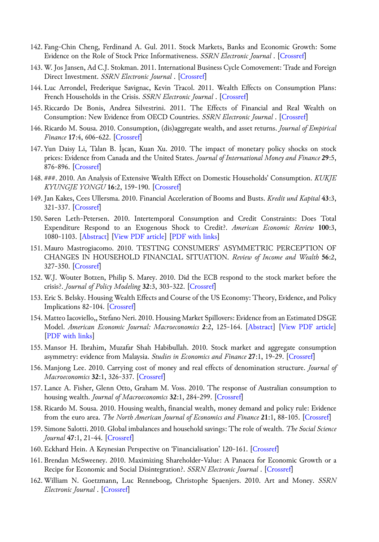- 142. Fang-Chin Cheng, Ferdinand A. Gul. 2011. Stock Markets, Banks and Economic Growth: Some Evidence on the Role of Stock Price Informativeness. *SSRN Electronic Journal* . [\[Crossref](https://doi.org/10.2139/ssrn.1917328)]
- 143. W. Jos Jansen, Ad C.J. Stokman. 2011. International Business Cycle Comovement: Trade and Foreign Direct Investment. *SSRN Electronic Journal* . [[Crossref\]](https://doi.org/10.2139/ssrn.1940278)
- 144. Luc Arrondel, Frederique Savignac, Kevin Tracol. 2011. Wealth Effects on Consumption Plans: French Households in the Crisis. *SSRN Electronic Journal* . [\[Crossref](https://doi.org/10.2139/ssrn.1950549)]
- 145. Riccardo De Bonis, Andrea Silvestrini. 2011. The Effects of Financial and Real Wealth on Consumption: New Evidence from OECD Countries. *SSRN Electronic Journal* . [\[Crossref](https://doi.org/10.2139/ssrn.2009903)]
- 146. Ricardo M. Sousa. 2010. Consumption, (dis)aggregate wealth, and asset returns. *Journal of Empirical Finance* **17**:4, 606-622. [[Crossref\]](https://doi.org/10.1016/j.jempfin.2010.02.001)
- 147. Yun Daisy Li, Talan B. İşcan, Kuan Xu. 2010. The impact of monetary policy shocks on stock prices: Evidence from Canada and the United States. *Journal of International Money and Finance* **29**:5, 876-896. [\[Crossref\]](https://doi.org/10.1016/j.jimonfin.2010.03.008)
- 148. ###. 2010. An Analysis of Extensive Wealth Effect on Domestic Households' Consumption. *KUKJE KYUNGJE YONGU* **16**:2, 159-190. [[Crossref\]](https://doi.org/10.17298/kky.2010.16.2.007)
- 149. Jan Kakes, Cees Ullersma. 2010. Financial Acceleration of Booms and Busts. *Kredit und Kapital* **43**:3, 321-337. [\[Crossref\]](https://doi.org/10.3790/kuk.43.3.321)
- 150. Søren Leth-Petersen. 2010. Intertemporal Consumption and Credit Constraints: Does Total Expenditure Respond to an Exogenous Shock to Credit?. *American Economic Review* **100**:3, 1080-1103. [[Abstract\]](https://doi.org/10.1257/aer.100.3.1080) [[View PDF article\]](http://pubs.aeaweb.org/doi/pdf/10.1257/aer.100.3.1080) [\[PDF with links\]](http://pubs.aeaweb.org/doi/pdfplus/10.1257/aer.100.3.1080)
- 151. Mauro Mastrogiacomo. 2010. TESTING CONSUMERS' ASYMMETRIC PERCEPTION OF CHANGES IN HOUSEHOLD FINANCIAL SITUATION. *Review of Income and Wealth* **56**:2, 327-350. [\[Crossref\]](https://doi.org/10.1111/j.1475-4991.2009.00371.x)
- 152. W.J. Wouter Botzen, Philip S. Marey. 2010. Did the ECB respond to the stock market before the crisis?. *Journal of Policy Modeling* **32**:3, 303-322. [\[Crossref](https://doi.org/10.1016/j.jpolmod.2010.03.001)]
- 153. Eric S. Belsky. Housing Wealth Effects and Course of the US Economy: Theory, Evidence, and Policy Implications 82-104. [\[Crossref](https://doi.org/10.1002/9781444317978.ch4)]
- 154. Matteo Iacoviello,, Stefano Neri. 2010. Housing Market Spillovers: Evidence from an Estimated DSGE Model. *American Economic Journal: Macroeconomics* **2**:2, 125-164. [[Abstract\]](https://doi.org/10.1257/mac.2.2.125) [\[View PDF article\]](http://pubs.aeaweb.org/doi/pdf/10.1257/mac.2.2.125) [\[PDF with links\]](http://pubs.aeaweb.org/doi/pdfplus/10.1257/mac.2.2.125)
- 155. Mansor H. Ibrahim, Muzafar Shah Habibullah. 2010. Stock market and aggregate consumption asymmetry: evidence from Malaysia. *Studies in Economics and Finance* **27**:1, 19-29. [[Crossref\]](https://doi.org/10.1108/10867371011022957)
- 156. Manjong Lee. 2010. Carrying cost of money and real effects of denomination structure. *Journal of Macroeconomics* **32**:1, 326-337. [[Crossref\]](https://doi.org/10.1016/j.jmacro.2009.04.001)
- 157. Lance A. Fisher, Glenn Otto, Graham M. Voss. 2010. The response of Australian consumption to housing wealth. *Journal of Macroeconomics* **32**:1, 284-299. [\[Crossref](https://doi.org/10.1016/j.jmacro.2009.06.004)]
- 158. Ricardo M. Sousa. 2010. Housing wealth, financial wealth, money demand and policy rule: Evidence from the euro area. *The North American Journal of Economics and Finance* **21**:1, 88-105. [\[Crossref](https://doi.org/10.1016/j.najef.2009.11.006)]
- 159. Simone Salotti. 2010. Global imbalances and household savings: The role of wealth. *The Social Science Journal* **47**:1, 21-44. [[Crossref\]](https://doi.org/10.1016/j.soscij.2009.07.004)
- 160. Eckhard Hein. A Keynesian Perspective on 'Financialisation' 120-161. [[Crossref\]](https://doi.org/10.1057/9780230285415_4)
- 161. Brendan McSweeney. 2010. Maximizing Shareholder-Value: A Panacea for Economic Growth or a Recipe for Economic and Social Disintegration?. *SSRN Electronic Journal* . [[Crossref\]](https://doi.org/10.2139/ssrn.1286743)
- 162. William N. Goetzmann, Luc Renneboog, Christophe Spaenjers. 2010. Art and Money. *SSRN Electronic Journal* . [[Crossref\]](https://doi.org/10.2139/ssrn.1501171)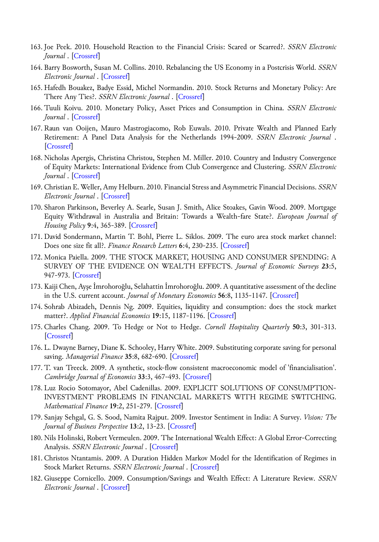- 163. Joe Peek. 2010. Household Reaction to the Financial Crisis: Scared or Scarred?. *SSRN Electronic Journal* . [\[Crossref](https://doi.org/10.2139/ssrn.1605153)]
- 164. Barry Bosworth, Susan M. Collins. 2010. Rebalancing the US Economy in a Postcrisis World. *SSRN Electronic Journal* . [[Crossref\]](https://doi.org/10.2139/ssrn.1658336)
- 165. Hafedh Bouakez, Badye Essid, Michel Normandin. 2010. Stock Returns and Monetary Policy: Are There Any Ties?. *SSRN Electronic Journal* . [[Crossref\]](https://doi.org/10.2139/ssrn.1674049)
- 166. Tuuli Koivu. 2010. Monetary Policy, Asset Prices and Consumption in China. *SSRN Electronic Journal* . [\[Crossref](https://doi.org/10.2139/ssrn.1703371)]
- 167. Raun van Ooijen, Mauro Mastrogiacomo, Rob Euwals. 2010. Private Wealth and Planned Early Retirement: A Panel Data Analysis for the Netherlands 1994-2009. *SSRN Electronic Journal* . [\[Crossref](https://doi.org/10.2139/ssrn.1730235)]
- 168. Nicholas Apergis, Christina Christou, Stephen M. Miller. 2010. Country and Industry Convergence of Equity Markets: International Evidence from Club Convergence and Clustering. *SSRN Electronic Journal* . [\[Crossref](https://doi.org/10.2139/ssrn.1730779)]
- 169. Christian E. Weller, Amy Helburn. 2010. Financial Stress and Asymmetric Financial Decisions. *SSRN Electronic Journal* . [[Crossref\]](https://doi.org/10.2139/ssrn.2004765)
- 170. Sharon Parkinson, Beverley A. Searle, Susan J. Smith, Alice Stoakes, Gavin Wood. 2009. Mortgage Equity Withdrawal in Australia and Britain: Towards a Wealth-fare State?. *European Journal of Housing Policy* **9**:4, 365-389. [\[Crossref](https://doi.org/10.1080/14616710903357185)]
- 171.David Sondermann, Martin T. Bohl, Pierre L. Siklos. 2009. The euro area stock market channel: Does one size fit all?. *Finance Research Letters* **6**:4, 230-235. [\[Crossref](https://doi.org/10.1016/j.frl.2009.08.001)]
- 172. Monica Paiella. 2009. THE STOCK MARKET, HOUSING AND CONSUMER SPENDING: A SURVEY OF THE EVIDENCE ON WEALTH EFFECTS. *Journal of Economic Surveys* **23**:5, 947-973. [\[Crossref\]](https://doi.org/10.1111/j.1467-6419.2009.00595.x)
- 173. Kaiji Chen, Ayşe İmrohoroğlu, Selahattin İmrohoroğlu. 2009. A quantitative assessment of the decline in the U.S. current account. *Journal of Monetary Economics* **56**:8, 1135-1147. [\[Crossref](https://doi.org/10.1016/j.jmoneco.2009.10.014)]
- 174. Sohrab Abizadeh, Dennis Ng. 2009. Equities, liquidity and consumption: does the stock market matter?. *Applied Financial Economics* **19**:15, 1187-1196. [\[Crossref](https://doi.org/10.1080/09603100802464123)]
- 175. Charles Chang. 2009. To Hedge or Not to Hedge. *Cornell Hospitality Quarterly* **50**:3, 301-313. [\[Crossref](https://doi.org/10.1177/1938965509333168)]
- 176. L. Dwayne Barney, Diane K. Schooley, Harry White. 2009. Substituting corporate saving for personal saving. *Managerial Finance* **35**:8, 682-690. [[Crossref\]](https://doi.org/10.1108/03074350910967222)
- 177. T. van Treeck. 2009. A synthetic, stock-flow consistent macroeconomic model of 'financialisation'. *Cambridge Journal of Economics* **33**:3, 467-493. [\[Crossref](https://doi.org/10.1093/cje/ben039)]
- 178. Luz Rocío Sotomayor, Abel Cadenillas. 2009. EXPLICIT SOLUTIONS OF CONSUMPTION-INVESTMENT PROBLEMS IN FINANCIAL MARKETS WITH REGIME SWITCHING. *Mathematical Finance* **19**:2, 251-279. [[Crossref\]](https://doi.org/10.1111/j.1467-9965.2009.00366.x)
- 179. Sanjay Sehgal, G. S. Sood, Namita Rajput. 2009. Investor Sentiment in India: A Survey. *Vision: The Journal of Business Perspective* **13**:2, 13-23. [\[Crossref](https://doi.org/10.1177/097226290901300202)]
- 180. Nils Holinski, Robert Vermeulen. 2009. The International Wealth Effect: A Global Error-Correcting Analysis. *SSRN Electronic Journal* . [[Crossref\]](https://doi.org/10.2139/ssrn.1342550)
- 181. Christos Ntantamis. 2009. A Duration Hidden Markov Model for the Identification of Regimes in Stock Market Returns. *SSRN Electronic Journal* . [\[Crossref](https://doi.org/10.2139/ssrn.1343726)]
- 182. Giuseppe Cornicello. 2009. Consumption/Savings and Wealth Effect: A Literature Review. *SSRN Electronic Journal* . [[Crossref\]](https://doi.org/10.2139/ssrn.1407486)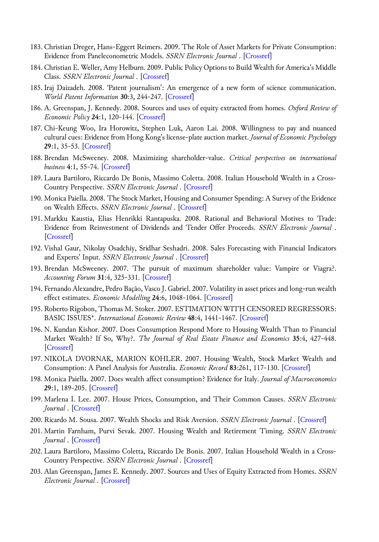- 183. Christian Dreger, Hans-Eggert Reimers. 2009. The Role of Asset Markets for Private Consumption: Evidence from Paneleconometric Models. *SSRN Electronic Journal* . [\[Crossref](https://doi.org/10.2139/ssrn.1431407)]
- 184. Christian E. Weller, Amy Helburn. 2009. Public Policy Options to Build Wealth for America's Middle Class. *SSRN Electronic Journal* . [[Crossref\]](https://doi.org/10.2139/ssrn.1802153)
- 185. Iraj Daizadeh. 2008. 'Patent journalism': An emergence of a new form of science communication. *World Patent Information* **30**:3, 244-247. [\[Crossref](https://doi.org/10.1016/j.wpi.2007.10.005)]
- 186. A. Greenspan, J. Kennedy. 2008. Sources and uses of equity extracted from homes. *Oxford Review of Economic Policy* **24**:1, 120-144. [[Crossref\]](https://doi.org/10.1093/oxrep/grn003)
- 187. Chi-Keung Woo, Ira Horowitz, Stephen Luk, Aaron Lai. 2008. Willingness to pay and nuanced cultural cues: Evidence from Hong Kong's license-plate auction market. *Journal of Economic Psychology* **29**:1, 35-53. [\[Crossref](https://doi.org/10.1016/j.joep.2007.03.002)]
- 188. Brendan McSweeney. 2008. Maximizing shareholder‐value. *Critical perspectives on international business* **4**:1, 55-74. [[Crossref\]](https://doi.org/10.1108/17422040810849767)
- 189. Laura Bartiloro, Riccardo De Bonis, Massimo Coletta. 2008. Italian Household Wealth in a Cross-Country Perspective. *SSRN Electronic Journal* . [[Crossref\]](https://doi.org/10.2139/ssrn.1162095)
- 190. Monica Paiella. 2008. The Stock Market, Housing and Consumer Spending: A Survey of the Evidence on Wealth Effects. *SSRN Electronic Journal* . [[Crossref\]](https://doi.org/10.2139/ssrn.1162222)
- 191. Markku Kaustia, Elias Henrikki Rantapuska. 2008. Rational and Behavioral Motives to Trade: Evidence from Reinvestment of Dividends and Tender Offer Proceeds. *SSRN Electronic Journal* . [\[Crossref](https://doi.org/10.2139/ssrn.1283184)]
- 192. Vishal Gaur, Nikolay Osadchiy, Sridhar Seshadri. 2008. Sales Forecasting with Financial Indicators and Experts' Input. *SSRN Electronic Journal* . [\[Crossref](https://doi.org/10.2139/ssrn.1300473)]
- 193. Brendan McSweeney. 2007. The pursuit of maximum shareholder value: Vampire or Viagra?. *Accounting Forum* **31**:4, 325-331. [\[Crossref](https://doi.org/10.1016/j.accfor.2007.09.001)]
- 194. Fernando Alexandre, Pedro Bação, Vasco J. Gabriel. 2007. Volatility in asset prices and long-run wealth effect estimates. *Economic Modelling* **24**:6, 1048-1064. [\[Crossref\]](https://doi.org/10.1016/j.econmod.2007.04.004)
- 195. Roberto Rigobon, Thomas M. Stoker. 2007. ESTIMATION WITH CENSORED REGRESSORS: BASIC ISSUES\*. *International Economic Review* **48**:4, 1441-1467. [[Crossref\]](https://doi.org/10.1111/j.1468-2354.2007.00470.x)
- 196. N. Kundan Kishor. 2007. Does Consumption Respond More to Housing Wealth Than to Financial Market Wealth? If So, Why?. *The Journal of Real Estate Finance and Economics* **35**:4, 427-448. [\[Crossref](https://doi.org/10.1007/s11146-007-9080-4)]
- 197. NIKOLA DVORNAK, MARION KOHLER. 2007. Housing Wealth, Stock Market Wealth and Consumption: A Panel Analysis for Australia. *Economic Record* **83**:261, 117-130. [[Crossref\]](https://doi.org/10.1111/j.1475-4932.2007.00388.x)
- 198. Monica Paiella. 2007. Does wealth affect consumption? Evidence for Italy. *Journal of Macroeconomics* **29**:1, 189-205. [[Crossref\]](https://doi.org/10.1016/j.jmacro.2005.06.001)
- 199. Marlena I. Lee. 2007. House Prices, Consumption, and Their Common Causes. *SSRN Electronic Journal* . [\[Crossref](https://doi.org/10.2139/ssrn.1023966)]
- 200. Ricardo M. Sousa. 2007. Wealth Shocks and Risk Aversion. *SSRN Electronic Journal* . [\[Crossref](https://doi.org/10.2139/ssrn.1030850)]
- 201. Martin Farnham, Purvi Sevak. 2007. Housing Wealth and Retirement Timing. *SSRN Electronic Journal* . [\[Crossref](https://doi.org/10.2139/ssrn.1076751)]
- 202. Laura Bartiloro, Massimo Coletta, Riccardo De Bonis. 2007. Italian Household Wealth in a Cross-Country Perspective. *SSRN Electronic Journal* . [[Crossref\]](https://doi.org/10.2139/ssrn.2116398)
- 203. Alan Greenspan, James E. Kennedy. 2007. Sources and Uses of Equity Extracted from Homes. *SSRN Electronic Journal* . [[Crossref\]](https://doi.org/10.2139/ssrn.999578)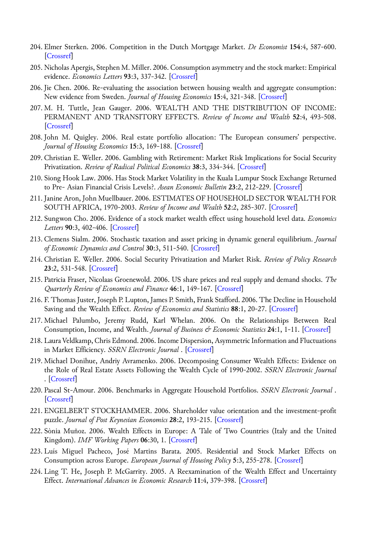- 204. Elmer Sterken. 2006. Competition in the Dutch Mortgage Market. *De Economist* **154**:4, 587-600. [\[Crossref](https://doi.org/10.1007/s10645-006-9032-z)]
- 205. Nicholas Apergis, Stephen M. Miller. 2006. Consumption asymmetry and the stock market: Empirical evidence. *Economics Letters* **93**:3, 337-342. [[Crossref\]](https://doi.org/10.1016/j.econlet.2006.06.002)
- 206. Jie Chen. 2006. Re-evaluating the association between housing wealth and aggregate consumption: New evidence from Sweden. *Journal of Housing Economics* **15**:4, 321-348. [[Crossref\]](https://doi.org/10.1016/j.jhe.2006.10.004)
- 207. M. H. Tuttle, Jean Gauger. 2006. WEALTH AND THE DISTRIBUTION OF INCOME: PERMANENT AND TRANSITORY EFFECTS. *Review of Income and Wealth* **52**:4, 493-508. [\[Crossref](https://doi.org/10.1111/j.1475-4991.2006.00208.x)]
- 208. John M. Quigley. 2006. Real estate portfolio allocation: The European consumers' perspective. *Journal of Housing Economics* **15**:3, 169-188. [\[Crossref](https://doi.org/10.1016/j.jhe.2006.09.003)]
- 209. Christian E. Weller. 2006. Gambling with Retirement: Market Risk Implications for Social Security Privatization. *Review of Radical Political Economics* **38**:3, 334-344. [[Crossref\]](https://doi.org/10.1177/0486613406290898)
- 210. Siong Hook Law. 2006. Has Stock Market Volatility in the Kuala Lumpur Stock Exchange Returned to Pre‑ Asian Financial Crisis Levels?. *Asean Economic Bulletin* **23**:2, 212-229. [[Crossref\]](https://doi.org/10.1355/AE23-2E)
- 211. Janine Aron, John Muellbauer. 2006. ESTIMATES OF HOUSEHOLD SECTOR WEALTH FOR SOUTH AFRICA, 1970-2003. *Review of Income and Wealth* **52**:2, 285-307. [[Crossref\]](https://doi.org/10.1111/j.1475-4991.2006.00188.x)
- 212. Sungwon Cho. 2006. Evidence of a stock market wealth effect using household level data. *Economics Letters* **90**:3, 402-406. [[Crossref\]](https://doi.org/10.1016/j.econlet.2005.09.006)
- 213. Clemens Sialm. 2006. Stochastic taxation and asset pricing in dynamic general equilibrium. *Journal of Economic Dynamics and Control* **30**:3, 511-540. [\[Crossref](https://doi.org/10.1016/j.jedc.2005.02.004)]
- 214. Christian E. Weller. 2006. Social Security Privatization and Market Risk. *Review of Policy Research* **23**:2, 531-548. [[Crossref\]](https://doi.org/10.1111/j.1541-1338.2006.00214.x)
- 215. Patricia Fraser, Nicolaas Groenewold. 2006. US share prices and real supply and demand shocks. *The Quarterly Review of Economics and Finance* **46**:1, 149-167. [[Crossref\]](https://doi.org/10.1016/j.qref.2004.09.002)
- 216. F. Thomas Juster, Joseph P. Lupton, James P. Smith, Frank Stafford. 2006. The Decline in Household Saving and the Wealth Effect. *Review of Economics and Statistics* **88**:1, 20-27. [\[Crossref](https://doi.org/10.1162/rest.2006.88.1.20)]
- 217. Michael Palumbo, Jeremy Rudd, Karl Whelan. 2006. On the Relationships Between Real Consumption, Income, and Wealth. *Journal of Business & Economic Statistics* **24**:1, 1-11. [[Crossref\]](https://doi.org/10.1198/073500105000000225)
- 218. Laura Veldkamp, Chris Edmond. 2006. Income Dispersion, Asymmetric Information and Fluctuations in Market Efficiency. *SSRN Electronic Journal* . [\[Crossref](https://doi.org/10.2139/ssrn.938515)]
- 219. Michael Donihue, Andriy Avramenko. 2006. Decomposing Consumer Wealth Effects: Evidence on the Role of Real Estate Assets Following the Wealth Cycle of 1990-2002. *SSRN Electronic Journal* . [\[Crossref\]](https://doi.org/10.2139/ssrn.951738)
- 220. Pascal St-Amour. 2006. Benchmarks in Aggregate Household Portfolios. *SSRN Electronic Journal* . [\[Crossref](https://doi.org/10.2139/ssrn.985256)]
- 221. ENGELBERT STOCKHAMMER. 2006. Shareholder value orientation and the investment-profit puzzle. *Journal of Post Keynesian Economics* **28**:2, 193-215. [\[Crossref](https://doi.org/10.2753/PKE0160-3477280203)]
- 222. Sònia Muñoz. 2006. Wealth Effects in Europe: A Tale of Two Countries (Italy and the United Kingdom). *IMF Working Papers* **06**:30, 1. [\[Crossref](https://doi.org/10.5089/9781451862904.001)]
- 223. Luís Miguel Pacheco, José Martins Barata. 2005. Residential and Stock Market Effects on Consumption across Europe. *European Journal of Housing Policy* **5**:3, 255-278. [\[Crossref](https://doi.org/10.1080/14616710500342150)]
- 224. Ling T. He, Joseph P. McGarrity. 2005. A Reexamination of the Wealth Effect and Uncertainty Effect. *International Advances in Economic Research* **11**:4, 379-398. [\[Crossref](https://doi.org/10.1007/s11294-005-2276-6)]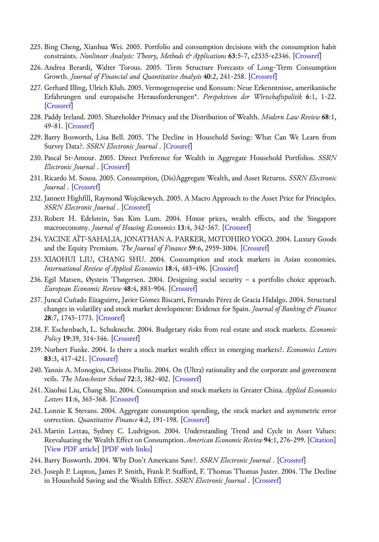- 225. Bing Cheng, Xianhua Wei. 2005. Portfolio and consumption decisions with the consumption habit constraints. *Nonlinear Analysis: Theory, Methods & Applications* **63**:5-7, e2335-e2346. [[Crossref\]](https://doi.org/10.1016/j.na.2005.03.007)
- 226. Andrea Berardi, Walter Torous. 2005. Term Structure Forecasts of Long-Term Consumption Growth. *Journal of Financial and Quantitative Analysis* **40**:2, 241-258. [\[Crossref](https://doi.org/10.1017/S0022109000002295)]
- 227. Gerhard Illing, Ulrich Kluh. 2005. Vermogenspreise und Konsum: Neue Erkenntnisse, amerikanische Erfahrungen und europaische Herausforderungen\*. *Perspektiven der Wirtschaftspolitik* **6**:1, 1-22. [\[Crossref](https://doi.org/10.1111/j.1465-6493.2005.00165.x)]
- 228. Paddy Ireland. 2005. Shareholder Primacy and the Distribution of Wealth. *Modern Law Review* **68**:1, 49-81. [\[Crossref](https://doi.org/10.1111/j.1468-2230.2005.00528.x)]
- 229. Barry Bosworth, Lisa Bell. 2005. The Decline in Household Saving: What Can We Learn from Survey Data?. *SSRN Electronic Journal* . [[Crossref\]](https://doi.org/10.2139/ssrn.1150363)
- 230. Pascal St-Amour. 2005. Direct Preference for Wealth in Aggregate Household Portfolios. *SSRN Electronic Journal* . [[Crossref\]](https://doi.org/10.2139/ssrn.683704)
- 231. Ricardo M. Sousa. 2005. Consumption, (Dis)Aggregate Wealth, and Asset Returns. *SSRN Electronic Journal* . [\[Crossref](https://doi.org/10.2139/ssrn.720182)]
- 232. Jannett Highfill, Raymond Wojcikewych. 2005. A Macro Approach to the Asset Price for Principles. *SSRN Electronic Journal* . [[Crossref\]](https://doi.org/10.2139/ssrn.752684)
- 233. Robert H. Edelstein, Sau Kim Lum. 2004. House prices, wealth effects, and the Singapore macroeconomy. *Journal of Housing Economics* **13**:4, 342-367. [[Crossref\]](https://doi.org/10.1016/j.jhe.2004.09.006)
- 234. YACINE AÏT-SAHALIA, JONATHAN A. PARKER, MOTOHIRO YOGO. 2004. Luxury Goods and the Equity Premium. *The Journal of Finance* **59**:6, 2959-3004. [[Crossref\]](https://doi.org/10.1111/j.1540-6261.2004.00721.x)
- 235. XIAOHUI LIU, CHANG SHU. 2004. Consumption and stock markets in Asian economies. *International Review of Applied Economics* **18**:4, 483-496. [\[Crossref](https://doi.org/10.1080/0269217042000266435)]
- 236. Egil Matsen, Øystein Thøgersen. 2004. Designing social security a portfolio choice approach. *European Economic Review* **48**:4, 883-904. [\[Crossref](https://doi.org/10.1016/j.euroecorev.2003.09.006)]
- 237. Juncal Cuñado Eizaguirre, Javier Gómez Biscarri, Fernando Pérez de Gracia Hidalgo. 2004. Structural changes in volatility and stock market development: Evidence for Spain. *Journal of Banking & Finance* **28**:7, 1745-1773. [[Crossref\]](https://doi.org/10.1016/j.jbankfin.2003.06.004)
- 238. F. Eschenbach, L. Schuknecht. 2004. Budgetary risks from real estate and stock markets. *Economic Policy* **19**:39, 314-346. [\[Crossref](https://doi.org/10.1111/j.1468-0327.2004.00125.x)]
- 239. Norbert Funke. 2004. Is there a stock market wealth effect in emerging markets?. *Economics Letters* **83**:3, 417-421. [[Crossref\]](https://doi.org/10.1016/j.econlet.2003.12.002)
- 240. Yannis A. Monogios, Christos Pitelis. 2004. On (Ultra) rationality and the corporate and government veils. *The Manchester School* **72**:3, 382-402. [[Crossref\]](https://doi.org/10.1111/j.1467-9957.2004.00398.x)
- 241. Xiaohui Liu, Chang Shu. 2004. Consumption and stock markets in Greater China. *Applied Economics Letters* **11**:6, 365-368. [[Crossref\]](https://doi.org/10.1080/1350485042000228204)
- 242. Lonnie K Stevans. 2004. Aggregate consumption spending, the stock market and asymmetric error correction. *Quantitative Finance* **4**:2, 191-198. [[Crossref\]](https://doi.org/10.1080/14697680400000023)
- 243. Martin Lettau, Sydney C. Ludvigson. 2004. Understanding Trend and Cycle in Asset Values: Reevaluating the Wealth Effect on Consumption. *American Economic Review* **94**:1, 276-299. [\[Citation\]](https://doi.org/10.1257/000282804322970805) [\[View PDF article](http://pubs.aeaweb.org/doi/pdf/10.1257/000282804322970805)] [\[PDF with links](http://pubs.aeaweb.org/doi/pdfplus/10.1257/000282804322970805)]
- 244. Barry Bosworth. 2004. Why Don't Americans Save?. *SSRN Electronic Journal* . [[Crossref\]](https://doi.org/10.2139/ssrn.1147692)
- 245. Joseph P. Lupton, James P. Smith, Frank P. Stafford, F. Thomas Thomas Juster. 2004. The Decline in Household Saving and the Wealth Effect. *SSRN Electronic Journal* . [[Crossref\]](https://doi.org/10.2139/ssrn.594821)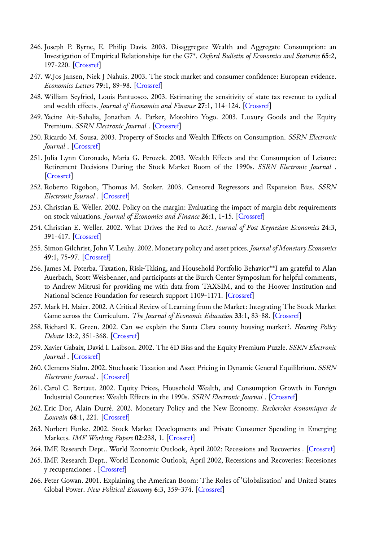- 246. Joseph P. Byrne, E. Philip Davis. 2003. Disaggregate Wealth and Aggregate Consumption: an Investigation of Empirical Relationships for the G7\*. *Oxford Bulletin of Economics and Statistics* **65**:2, 197-220. [\[Crossref\]](https://doi.org/10.1111/1468-0084.00044)
- 247. W.Jos Jansen, Niek J Nahuis. 2003. The stock market and consumer confidence: European evidence. *Economics Letters* **79**:1, 89-98. [\[Crossref](https://doi.org/10.1016/S0165-1765(02)00292-6)]
- 248. William Seyfried, Louis Pantuosco. 2003. Estimating the sensitivity of state tax revenue to cyclical and wealth effects. *Journal of Economics and Finance* **27**:1, 114-124. [[Crossref\]](https://doi.org/10.1007/BF02751594)
- 249. Yacine Ait-Sahalia, Jonathan A. Parker, Motohiro Yogo. 2003. Luxury Goods and the Equity Premium. *SSRN Electronic Journal* . [\[Crossref](https://doi.org/10.2139/ssrn.385243)]
- 250. Ricardo M. Sousa. 2003. Property of Stocks and Wealth Effects on Consumption. *SSRN Electronic Journal* . [\[Crossref](https://doi.org/10.2139/ssrn.412286)]
- 251. Julia Lynn Coronado, Maria G. Perozek. 2003. Wealth Effects and the Consumption of Leisure: Retirement Decisions During the Stock Market Boom of the 1990s. *SSRN Electronic Journal* . [\[Crossref](https://doi.org/10.2139/ssrn.419721)]
- 252. Roberto Rigobon, Thomas M. Stoker. 2003. Censored Regressors and Expansion Bias. *SSRN Electronic Journal* . [[Crossref\]](https://doi.org/10.2139/ssrn.475481)
- 253. Christian E. Weller. 2002. Policy on the margin: Evaluating the impact of margin debt requirements on stock valuations. *Journal of Economics and Finance* **26**:1, 1-15. [[Crossref\]](https://doi.org/10.1007/BF02744448)
- 254. Christian E. Weller. 2002. What Drives the Fed to Act?. *Journal of Post Keynesian Economics* **24**:3, 391-417. [\[Crossref\]](https://doi.org/10.1080/01603477.2002.11490332)
- 255. Simon Gilchrist, John V. Leahy. 2002. Monetary policy and asset prices. *Journal of Monetary Economics* **49**:1, 75-97. [\[Crossref](https://doi.org/10.1016/S0304-3932(01)00093-9)]
- 256. James M. Poterba. Taxation, Risk-Taking, and Household Portfolio Behavior\*\*I am grateful to Alan Auerbach, Scott Weisbenner, and participants at the Burch Center Symposium for helpful comments, to Andrew Mitrusi for providing me with data from TAXSIM, and to the Hoover Institution and National Science Foundation for research support 1109-1171. [[Crossref\]](https://doi.org/10.1016/S1573-4420(02)80021-0)
- 257. Mark H. Maier. 2002. A Critical Review of Learning from the Market: Integrating The Stock Market Game across the Curriculum. *The Journal of Economic Education* **33**:1, 83-88. [[Crossref\]](https://doi.org/10.1080/00220480209596127)
- 258. Richard K. Green. 2002. Can we explain the Santa Clara county housing market?. *Housing Policy Debate* **13**:2, 351-368. [\[Crossref](https://doi.org/10.1080/10511482.2002.9521446)]
- 259. Xavier Gabaix, David I. Laibson. 2002. The 6D Bias and the Equity Premium Puzzle. *SSRN Electronic Journal* . [\[Crossref](https://doi.org/10.2139/ssrn.297165)]
- 260. Clemens Sialm. 2002. Stochastic Taxation and Asset Pricing in Dynamic General Equilibrium. *SSRN Electronic Journal* . [[Crossref\]](https://doi.org/10.2139/ssrn.306744)
- 261. Carol C. Bertaut. 2002. Equity Prices, Household Wealth, and Consumption Growth in Foreign Industrial Countries: Wealth Effects in the 1990s. *SSRN Electronic Journal* . [\[Crossref](https://doi.org/10.2139/ssrn.307800)]
- 262. Eric Dor, Alain Durré. 2002. Monetary Policy and the New Economy. *Recherches économiques de Louvain* **68**:1, 221. [[Crossref\]](https://doi.org/10.3917/rel.681.0221)
- 263. Norbert Funke. 2002. Stock Market Developments and Private Consumer Spending in Emerging Markets. *IMF Working Papers* **02**:238, 1. [\[Crossref](https://doi.org/10.5089/9781451875751.001)]
- 264. IMF. Research Dept.. World Economic Outlook, April 2002: Recessions and Recoveries . [\[Crossref\]](https://doi.org/10.5089/9781589061071.081)
- 265. IMF. Research Dept.. World Economic Outlook, April 2002, Recessions and Recoveries: Recesiones y recuperaciones . [\[Crossref](https://doi.org/10.5089/9781589061095.081)]
- 266. Peter Gowan. 2001. Explaining the American Boom: The Roles of 'Globalisation' and United States Global Power. *New Political Economy* **6**:3, 359-374. [\[Crossref](https://doi.org/10.1080/13563460120091351)]